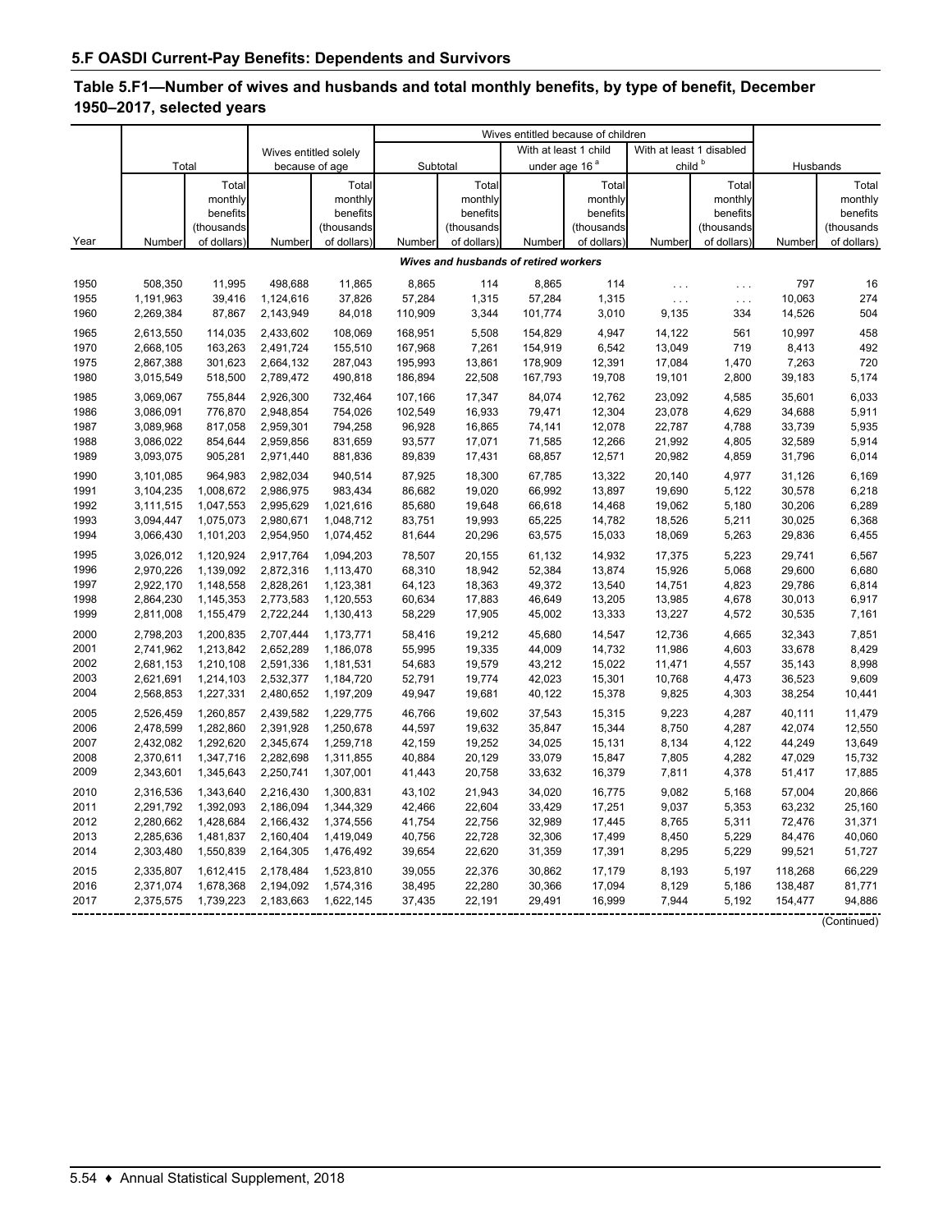# **Table 5.F1—Number of wives and husbands and total monthly benefits, by type of benefit, December 1950–2017, selected years**

|      |           |            |                       |             |          |             | Wives entitled because of children    |             |                          |             |          |             |
|------|-----------|------------|-----------------------|-------------|----------|-------------|---------------------------------------|-------------|--------------------------|-------------|----------|-------------|
|      |           |            | Wives entitled solely |             |          |             | With at least 1 child                 |             | With at least 1 disabled |             |          |             |
|      | Total     |            | because of age        |             | Subtotal |             | under age 16 <sup>ª</sup>             |             | $child^b$                |             | Husbands |             |
|      |           | Total      |                       | Total       |          | Total       |                                       | Total       |                          | Total       |          | Total       |
|      |           | monthly    |                       | monthly     |          | monthly     |                                       | monthly     |                          | monthly     |          | monthly     |
|      |           | benefits   |                       | benefits    |          | benefits    |                                       | benefits    |                          | benefits    |          | benefits    |
|      |           | (thousands |                       | (thousands  |          | (thousands  |                                       | (thousands  |                          | (thousands  |          | (thousands  |
| Year | Number    | of dollars | Number                | of dollars) | Number   | of dollars) | Number                                | of dollars) | Number                   | of dollars) | Number   | of dollars) |
|      |           |            |                       |             |          |             | Wives and husbands of retired workers |             |                          |             |          |             |
| 1950 | 508,350   | 11,995     | 498,688               | 11,865      | 8,865    | 114         | 8,865                                 | 114         | $\ldots$                 | $\ldots$    | 797      | 16          |
| 1955 | 1,191,963 | 39,416     | 1,124,616             | 37,826      | 57,284   | 1,315       | 57,284                                | 1,315       | $\ldots$                 | $\ldots$    | 10,063   | 274         |
| 1960 | 2,269,384 | 87,867     | 2,143,949             | 84,018      | 110,909  | 3,344       | 101,774                               | 3,010       | 9,135                    | 334         | 14,526   | 504         |
| 1965 | 2,613,550 | 114,035    | 2,433,602             | 108,069     | 168,951  | 5,508       | 154,829                               | 4,947       | 14,122                   | 561         | 10,997   | 458         |
| 1970 | 2,668,105 | 163,263    | 2,491,724             | 155,510     | 167,968  | 7,261       | 154,919                               | 6,542       | 13,049                   | 719         | 8,413    | 492         |
| 1975 | 2,867,388 | 301,623    | 2,664,132             | 287,043     | 195,993  | 13,861      | 178,909                               | 12,391      | 17,084                   | 1,470       | 7,263    | 720         |
| 1980 | 3,015,549 | 518,500    | 2,789,472             | 490,818     | 186,894  | 22,508      | 167,793                               | 19,708      | 19,101                   | 2,800       | 39,183   | 5,174       |
| 1985 | 3,069,067 | 755,844    | 2,926,300             | 732,464     | 107,166  | 17,347      | 84,074                                | 12,762      | 23,092                   | 4,585       | 35,601   | 6,033       |
| 1986 | 3,086,091 | 776.870    | 2.948.854             | 754.026     | 102,549  | 16,933      | 79.471                                | 12,304      | 23,078                   | 4,629       | 34,688   | 5,911       |
| 1987 | 3,089,968 | 817,058    | 2,959,301             | 794,258     | 96,928   | 16,865      | 74,141                                | 12,078      | 22,787                   | 4,788       | 33,739   | 5,935       |
| 1988 | 3,086,022 | 854,644    | 2,959,856             | 831,659     | 93,577   | 17,071      | 71,585                                | 12,266      | 21,992                   | 4,805       | 32,589   | 5,914       |
| 1989 | 3,093,075 | 905,281    | 2,971,440             | 881,836     | 89,839   | 17,431      | 68,857                                | 12,571      | 20,982                   | 4,859       | 31,796   | 6,014       |
| 1990 | 3,101,085 | 964,983    | 2,982,034             | 940,514     | 87,925   | 18,300      | 67,785                                | 13,322      | 20,140                   | 4,977       | 31,126   | 6,169       |
| 1991 | 3,104,235 | 1,008,672  | 2,986,975             | 983,434     | 86.682   | 19,020      | 66,992                                | 13,897      | 19,690                   | 5,122       | 30,578   | 6,218       |
| 1992 | 3,111,515 | 1,047,553  | 2,995,629             | 1,021,616   | 85,680   | 19,648      | 66,618                                | 14,468      | 19,062                   | 5,180       | 30,206   | 6,289       |
| 1993 | 3,094,447 | 1,075,073  | 2,980,671             | 1,048,712   | 83,751   | 19,993      | 65,225                                | 14,782      | 18,526                   | 5,211       | 30,025   | 6,368       |
| 1994 | 3,066,430 | 1,101,203  | 2,954,950             | 1,074,452   | 81,644   | 20,296      | 63,575                                | 15,033      | 18,069                   | 5,263       | 29,836   | 6,455       |
| 1995 | 3,026,012 | 1,120,924  | 2,917,764             | 1,094,203   | 78,507   | 20,155      | 61,132                                | 14,932      | 17,375                   | 5,223       | 29,741   | 6,567       |
| 1996 | 2,970,226 | 1,139,092  | 2,872,316             | 1,113,470   | 68,310   | 18,942      | 52,384                                | 13,874      | 15,926                   | 5,068       | 29,600   | 6,680       |
| 1997 | 2,922,170 | 1,148,558  | 2,828,261             | 1,123,381   | 64,123   | 18,363      | 49,372                                | 13,540      | 14,751                   | 4,823       | 29,786   | 6,814       |
| 1998 | 2,864,230 | 1,145,353  | 2,773,583             | 1,120,553   | 60,634   | 17,883      | 46,649                                | 13,205      | 13,985                   | 4,678       | 30,013   | 6,917       |
| 1999 | 2,811,008 | 1,155,479  | 2,722,244             | 1,130,413   | 58,229   | 17,905      | 45,002                                | 13,333      | 13,227                   | 4,572       | 30,535   | 7,161       |
| 2000 | 2,798,203 | 1,200,835  | 2,707,444             | 1,173,771   | 58,416   | 19,212      | 45,680                                | 14,547      | 12,736                   | 4,665       | 32,343   | 7,851       |
| 2001 | 2,741,962 | 1,213,842  | 2,652,289             | 1,186,078   | 55.995   | 19,335      | 44,009                                | 14,732      | 11,986                   | 4,603       | 33,678   | 8,429       |
| 2002 | 2,681,153 | 1,210,108  | 2,591,336             | 1,181,531   | 54,683   | 19,579      | 43,212                                | 15,022      | 11,471                   | 4,557       | 35,143   | 8,998       |
| 2003 | 2,621,691 | 1,214,103  | 2,532,377             | 1,184,720   | 52,791   | 19,774      | 42,023                                | 15,301      | 10,768                   | 4,473       | 36,523   | 9,609       |
| 2004 | 2,568,853 | 1,227,331  | 2,480,652             | 1,197,209   | 49,947   | 19,681      | 40,122                                | 15,378      | 9,825                    | 4,303       | 38,254   | 10,441      |
| 2005 | 2,526,459 | 1,260,857  | 2,439,582             | 1,229,775   | 46,766   | 19,602      | 37,543                                | 15,315      | 9,223                    | 4,287       | 40,111   | 11,479      |
| 2006 | 2,478,599 | 1,282,860  | 2,391,928             | 1,250,678   | 44,597   | 19,632      | 35,847                                | 15,344      | 8,750                    | 4,287       | 42,074   | 12,550      |
| 2007 | 2,432,082 | 1,292,620  | 2,345,674             | 1,259,718   | 42,159   | 19,252      | 34,025                                | 15,131      | 8,134                    | 4,122       | 44,249   | 13,649      |
| 2008 | 2,370,611 | 1,347,716  | 2,282,698             | 1,311,855   | 40,884   | 20,129      | 33,079                                | 15,847      | 7,805                    | 4,282       | 47,029   | 15,732      |
| 2009 | 2,343,601 | 1,345,643  | 2,250,741             | 1,307,001   | 41,443   | 20,758      | 33,632                                | 16,379      | 7,811                    | 4,378       | 51,417   | 17,885      |
| 2010 | 2,316,536 | 1,343,640  | 2,216,430             | 1,300,831   | 43,102   | 21,943      | 34,020                                | 16,775      | 9,082                    | 5,168       | 57,004   | 20,866      |
| 2011 | 2,291,792 | 1,392,093  | 2,186,094             | 1,344,329   | 42,466   | 22,604      | 33,429                                | 17,251      | 9,037                    | 5,353       | 63,232   | 25,160      |
| 2012 | 2,280,662 | 1,428,684  | 2,166,432             | 1,374,556   | 41,754   | 22,756      | 32,989                                | 17,445      | 8,765                    | 5,311       | 72,476   | 31,371      |
| 2013 | 2,285,636 | 1,481,837  | 2,160,404             | 1,419,049   | 40,756   | 22,728      | 32,306                                | 17,499      | 8,450                    | 5,229       | 84,476   | 40,060      |
| 2014 | 2,303,480 | 1,550,839  | 2,164,305             | 1,476,492   | 39,654   | 22,620      | 31,359                                | 17,391      | 8,295                    | 5,229       | 99,521   | 51,727      |
| 2015 | 2,335,807 | 1,612,415  | 2,178,484             | 1,523,810   | 39,055   | 22,376      | 30,862                                | 17,179      | 8,193                    | 5,197       | 118,268  | 66,229      |
| 2016 | 2,371,074 | 1,678,368  | 2,194,092             | 1,574,316   | 38,495   | 22,280      | 30,366                                | 17,094      | 8,129                    | 5,186       | 138,487  | 81,771      |
| 2017 | 2,375,575 | 1,739,223  | 2,183,663             | 1,622,145   | 37,435   | 22,191      | 29,491                                | 16,999      | 7,944                    | 5,192       | 154,477  | 94,886      |
|      |           |            |                       |             |          |             |                                       |             |                          |             |          | (Continued) |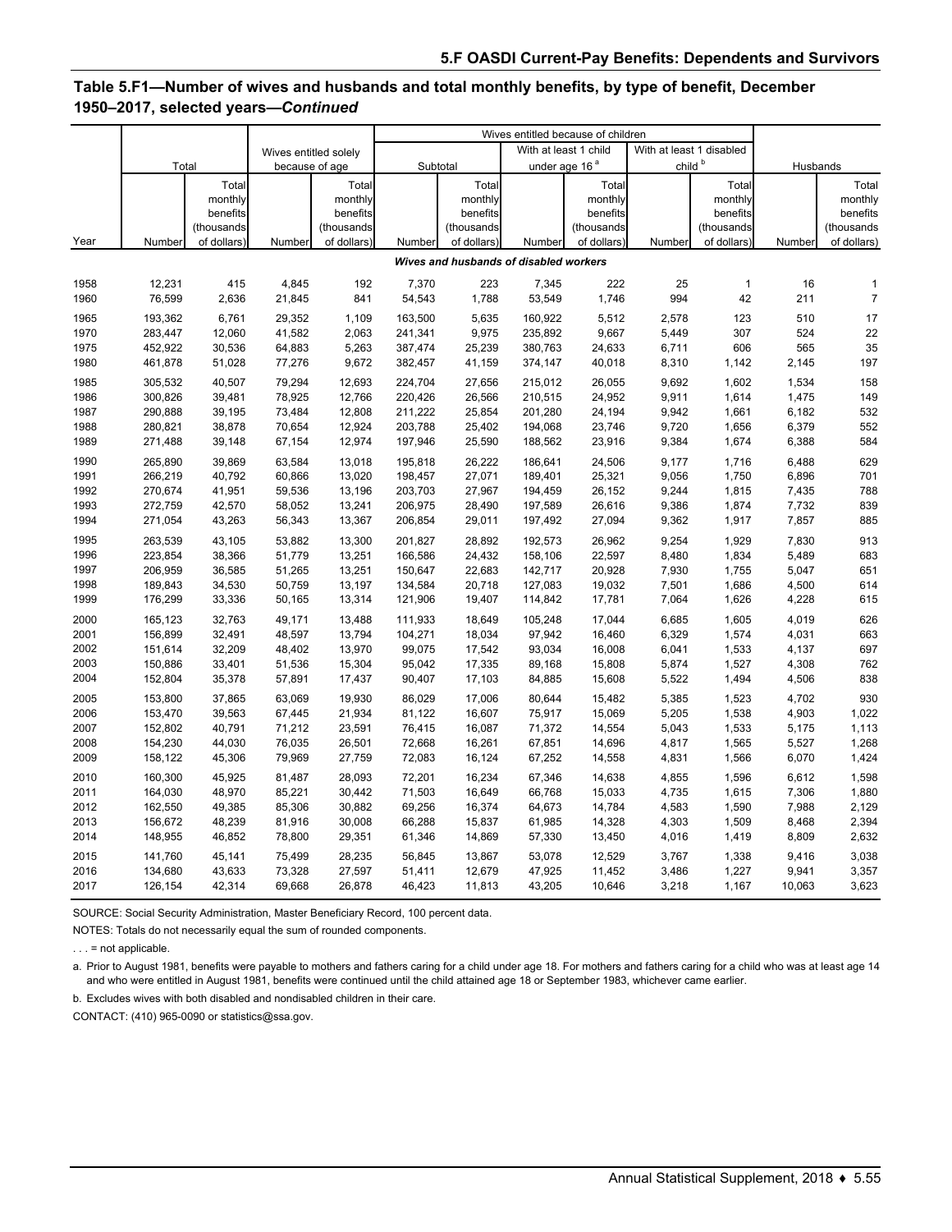# **Table 5.F1—Number of wives and husbands and total monthly benefits, by type of benefit, December 1950–2017, selected years—***Continued*

|      |         |             |                       |             |         |             | Wives entitled because of children     |             |                          |              |          |                |
|------|---------|-------------|-----------------------|-------------|---------|-------------|----------------------------------------|-------------|--------------------------|--------------|----------|----------------|
|      |         |             | Wives entitled solely |             |         |             | With at least 1 child                  |             | With at least 1 disabled |              |          |                |
|      | Total   |             | because of age        |             |         | Subtotal    | under age 16 <sup>ª</sup>              |             | child <sup>b</sup>       |              | Husbands |                |
|      |         | Total       |                       | Total       |         | Total       |                                        | Total       |                          | Total        |          | Total          |
|      |         | monthly     |                       | monthly     |         | monthly     |                                        | monthly     |                          | monthly      |          | monthly        |
|      |         | benefits    |                       | benefits    |         | benefits    |                                        | benefits    |                          | benefits     |          | benefits       |
|      |         | (thousands  |                       | (thousands  |         | (thousands  |                                        | (thousands  |                          | (thousands   |          | (thousands     |
| Year | Number  | of dollars) | Number                | of dollars) | Number  | of dollars) | Number                                 | of dollars) | Number                   | of dollars)  | Number   | of dollars)    |
|      |         |             |                       |             |         |             | Wives and husbands of disabled workers |             |                          |              |          |                |
| 1958 | 12,231  | 415         | 4,845                 | 192         | 7,370   | 223         | 7,345                                  | 222         | 25                       | $\mathbf{1}$ | 16       | 1              |
| 1960 | 76,599  | 2,636       | 21,845                | 841         | 54,543  | 1,788       | 53,549                                 | 1,746       | 994                      | 42           | 211      | $\overline{7}$ |
| 1965 | 193,362 | 6,761       | 29,352                | 1,109       | 163,500 | 5,635       | 160,922                                | 5,512       | 2,578                    | 123          | 510      | 17             |
| 1970 | 283,447 | 12,060      | 41,582                | 2,063       | 241,341 | 9,975       | 235,892                                | 9,667       | 5,449                    | 307          | 524      | 22             |
| 1975 | 452,922 | 30,536      | 64,883                | 5,263       | 387,474 | 25,239      | 380,763                                | 24,633      | 6,711                    | 606          | 565      | 35             |
| 1980 | 461,878 | 51,028      | 77,276                | 9,672       | 382,457 | 41,159      | 374,147                                | 40,018      | 8,310                    | 1,142        | 2,145    | 197            |
| 1985 | 305,532 | 40,507      | 79,294                | 12,693      | 224,704 | 27,656      | 215,012                                | 26,055      | 9,692                    | 1,602        | 1,534    | 158            |
| 1986 | 300,826 | 39,481      | 78,925                | 12,766      | 220,426 | 26,566      | 210,515                                | 24,952      | 9,911                    | 1,614        | 1,475    | 149            |
| 1987 | 290,888 | 39,195      | 73,484                | 12,808      | 211,222 | 25,854      | 201,280                                | 24,194      | 9,942                    | 1,661        | 6,182    | 532            |
| 1988 | 280,821 | 38,878      | 70,654                | 12,924      | 203,788 | 25,402      | 194,068                                | 23,746      | 9,720                    | 1,656        | 6,379    | 552            |
| 1989 | 271,488 | 39,148      | 67,154                | 12,974      | 197,946 | 25,590      | 188,562                                | 23,916      | 9,384                    | 1,674        | 6,388    | 584            |
| 1990 | 265,890 | 39,869      | 63,584                | 13,018      | 195,818 | 26,222      | 186,641                                | 24,506      | 9,177                    | 1,716        | 6,488    | 629            |
| 1991 | 266,219 | 40,792      | 60,866                | 13,020      | 198,457 | 27,071      | 189,401                                | 25,321      | 9,056                    | 1,750        | 6,896    | 701            |
| 1992 | 270,674 | 41,951      | 59,536                | 13,196      | 203,703 | 27,967      | 194,459                                | 26,152      | 9,244                    | 1,815        | 7,435    | 788            |
| 1993 | 272,759 | 42,570      | 58,052                | 13,241      | 206,975 | 28,490      | 197,589                                | 26,616      | 9,386                    | 1,874        | 7,732    | 839            |
| 1994 | 271,054 | 43,263      | 56,343                | 13,367      | 206,854 | 29,011      | 197,492                                | 27,094      | 9,362                    | 1,917        | 7,857    | 885            |
| 1995 | 263,539 | 43,105      | 53,882                | 13,300      | 201,827 | 28,892      | 192,573                                | 26,962      | 9,254                    | 1,929        | 7,830    | 913            |
| 1996 | 223,854 | 38,366      | 51,779                | 13,251      | 166,586 | 24,432      | 158,106                                | 22,597      | 8,480                    | 1,834        | 5,489    | 683            |
| 1997 | 206,959 | 36,585      | 51,265                | 13,251      | 150,647 | 22,683      | 142,717                                | 20,928      | 7,930                    | 1,755        | 5,047    | 651            |
| 1998 | 189,843 | 34,530      | 50,759                | 13,197      | 134,584 | 20,718      | 127,083                                | 19,032      | 7,501                    | 1,686        | 4,500    | 614            |
| 1999 | 176,299 | 33,336      | 50,165                | 13,314      | 121,906 | 19,407      | 114,842                                | 17,781      | 7,064                    | 1,626        | 4,228    | 615            |
| 2000 | 165,123 | 32,763      | 49,171                | 13,488      | 111,933 | 18,649      | 105,248                                | 17,044      | 6,685                    | 1,605        | 4,019    | 626            |
| 2001 | 156,899 | 32,491      | 48,597                | 13,794      | 104,271 | 18,034      | 97,942                                 | 16,460      | 6,329                    | 1,574        | 4,031    | 663            |
| 2002 | 151,614 | 32,209      | 48,402                | 13,970      | 99,075  | 17,542      | 93,034                                 | 16,008      | 6,041                    | 1,533        | 4,137    | 697            |
| 2003 | 150,886 | 33,401      | 51,536                | 15,304      | 95,042  | 17,335      | 89,168                                 | 15,808      | 5,874                    | 1,527        | 4,308    | 762            |
| 2004 | 152,804 | 35,378      | 57,891                | 17,437      | 90,407  | 17,103      | 84,885                                 | 15,608      | 5,522                    | 1,494        | 4,506    | 838            |
| 2005 | 153,800 | 37,865      | 63.069                | 19,930      | 86,029  | 17,006      | 80,644                                 | 15,482      | 5,385                    | 1,523        | 4,702    | 930            |
| 2006 | 153,470 | 39,563      | 67,445                | 21,934      | 81,122  | 16,607      | 75,917                                 | 15,069      | 5,205                    | 1,538        | 4,903    | 1,022          |
| 2007 | 152,802 | 40,791      | 71,212                | 23,591      | 76,415  | 16,087      | 71,372                                 | 14,554      | 5,043                    | 1,533        | 5,175    | 1,113          |
| 2008 | 154,230 | 44,030      | 76,035                | 26,501      | 72,668  | 16,261      | 67,851                                 | 14,696      | 4,817                    | 1,565        | 5,527    | 1,268          |
| 2009 | 158,122 | 45,306      | 79,969                | 27,759      | 72,083  | 16,124      | 67,252                                 | 14,558      | 4,831                    | 1,566        | 6,070    | 1,424          |
| 2010 | 160,300 | 45,925      | 81,487                | 28,093      | 72,201  | 16,234      | 67,346                                 | 14,638      | 4,855                    | 1,596        | 6,612    | 1,598          |
| 2011 | 164,030 | 48,970      | 85,221                | 30,442      | 71,503  | 16,649      | 66,768                                 | 15,033      | 4,735                    | 1,615        | 7,306    | 1,880          |
| 2012 | 162,550 | 49,385      | 85,306                | 30,882      | 69,256  | 16,374      | 64,673                                 | 14,784      | 4,583                    | 1,590        | 7,988    | 2,129          |
| 2013 | 156,672 | 48,239      | 81,916                | 30,008      | 66,288  | 15,837      | 61,985                                 | 14,328      | 4,303                    | 1,509        | 8,468    | 2,394          |
| 2014 | 148,955 | 46,852      | 78,800                | 29,351      | 61,346  | 14,869      | 57,330                                 | 13,450      | 4,016                    | 1,419        | 8,809    | 2,632          |
| 2015 | 141,760 | 45,141      | 75,499                | 28,235      | 56,845  | 13,867      | 53,078                                 | 12,529      | 3,767                    | 1,338        | 9,416    | 3,038          |
| 2016 | 134,680 | 43,633      | 73,328                | 27,597      | 51,411  | 12,679      | 47,925                                 | 11,452      | 3,486                    | 1,227        | 9,941    | 3,357          |
| 2017 | 126,154 | 42,314      | 69,668                | 26,878      | 46,423  | 11,813      | 43,205                                 | 10,646      | 3,218                    | 1,167        | 10,063   | 3,623          |

SOURCE: Social Security Administration, Master Beneficiary Record, 100 percent data.

NOTES: Totals do not necessarily equal the sum of rounded components.

 $\ldots$  = not applicable.

a. Prior to August 1981, benefits were payable to mothers and fathers caring for a child under age 18. For mothers and fathers caring for a child who was at least age 14 and who were entitled in August 1981, benefits were continued until the child attained age 18 or September 1983, whichever came earlier.

b. Excludes wives with both disabled and nondisabled children in their care.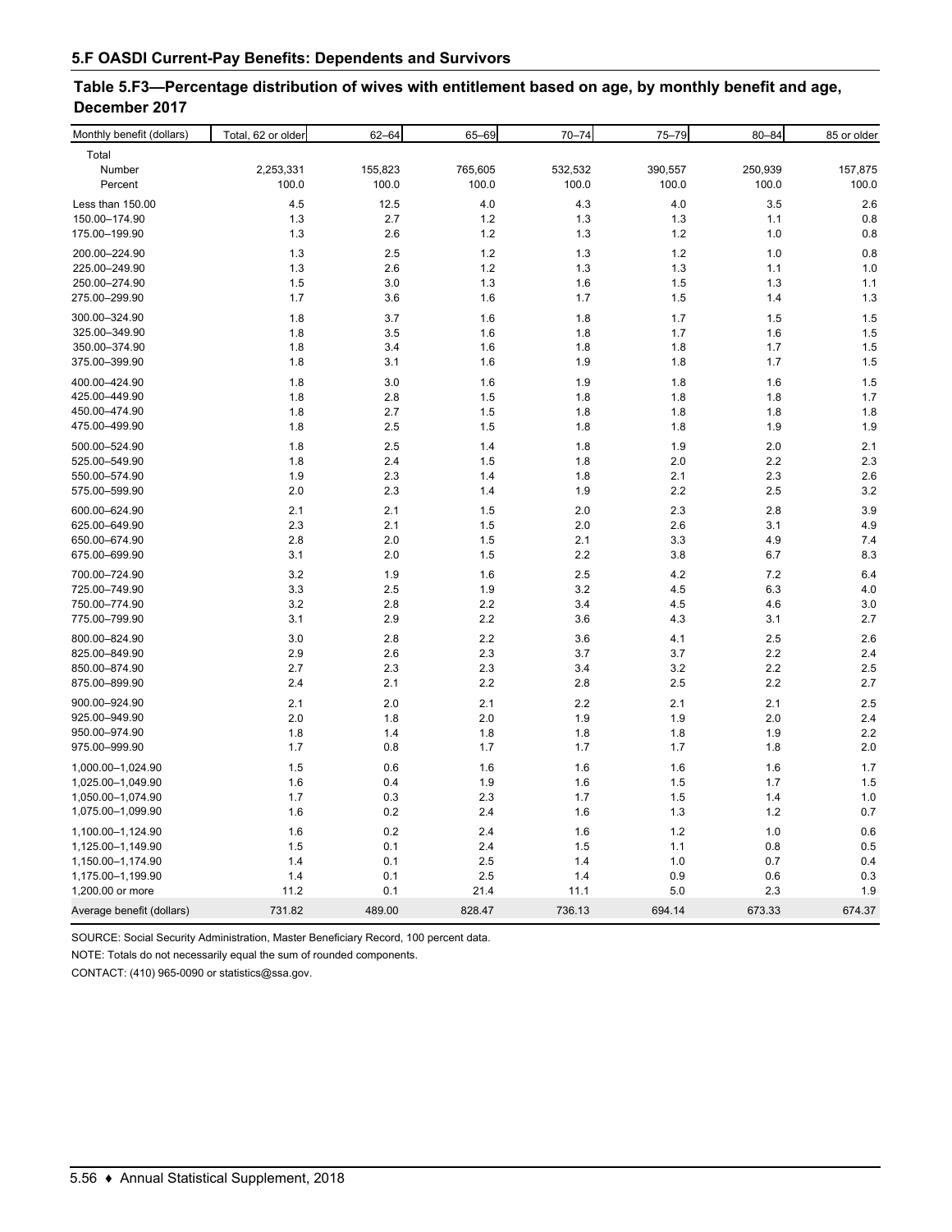| Table 5.F3—Percentage distribution of wives with entitlement based on age, by monthly benefit and age, |  |
|--------------------------------------------------------------------------------------------------------|--|
| December 2017                                                                                          |  |

| Monthly benefit (dollars) | Total, 62 or older | $62 - 64$ | 65-69   | $70 - 74$ | 75-79   | $80 - 84$ | 85 or older |
|---------------------------|--------------------|-----------|---------|-----------|---------|-----------|-------------|
| Total                     |                    |           |         |           |         |           |             |
| Number                    | 2,253,331          | 155,823   | 765,605 | 532,532   | 390,557 | 250,939   | 157,875     |
| Percent                   | 100.0              | 100.0     | 100.0   | 100.0     | 100.0   | 100.0     | 100.0       |
| Less than 150.00          | 4.5                | 12.5      | 4.0     | 4.3       | 4.0     | 3.5       | 2.6         |
| 150.00-174.90             | 1.3                | 2.7       | 1.2     | 1.3       | 1.3     | 1.1       | 0.8         |
| 175.00-199.90             | 1.3                | 2.6       | 1.2     | 1.3       | $1.2$   | 1.0       | 0.8         |
| 200.00-224.90             | 1.3                | 2.5       | 1.2     | 1.3       | 1.2     | 1.0       | 0.8         |
| 225.00-249.90             | 1.3                | 2.6       | 1.2     | 1.3       | 1.3     | 1.1       | 1.0         |
| 250.00-274.90             | 1.5                | 3.0       | 1.3     | 1.6       | 1.5     | 1.3       | 1.1         |
| 275.00-299.90             | 1.7                | 3.6       | 1.6     | 1.7       | 1.5     | 1.4       | 1.3         |
| 300.00-324.90             | 1.8                | 3.7       | 1.6     | 1.8       | 1.7     | 1.5       | 1.5         |
| 325.00-349.90             | 1.8                | 3.5       | 1.6     | 1.8       | 1.7     | 1.6       | 1.5         |
| 350.00-374.90             | 1.8                | 3.4       | 1.6     | 1.8       | 1.8     | 1.7       | 1.5         |
| 375.00-399.90             | 1.8                | 3.1       | 1.6     | 1.9       | 1.8     | 1.7       | 1.5         |
| 400.00-424.90             | 1.8                | 3.0       | 1.6     | 1.9       | 1.8     | 1.6       | 1.5         |
| 425.00-449.90             | 1.8                | 2.8       | 1.5     | 1.8       | 1.8     | 1.8       | 1.7         |
| 450.00-474.90             | 1.8                | 2.7       | 1.5     | 1.8       | 1.8     | 1.8       | 1.8         |
| 475.00-499.90             | 1.8                | 2.5       | 1.5     | 1.8       | 1.8     | 1.9       | 1.9         |
| 500.00-524.90             | 1.8                | 2.5       | 1.4     | 1.8       | 1.9     | 2.0       | 2.1         |
| 525.00-549.90             | 1.8                | 2.4       | 1.5     | 1.8       | 2.0     | 2.2       | 2.3         |
| 550.00-574.90             | 1.9                | 2.3       | 1.4     | 1.8       | 2.1     | 2.3       | 2.6         |
| 575.00-599.90             | 2.0                | 2.3       | 1.4     | 1.9       | 2.2     | 2.5       | 3.2         |
| 600.00-624.90             | 2.1                | 2.1       | 1.5     | 2.0       | 2.3     | 2.8       | 3.9         |
| 625.00-649.90             | 2.3                | 2.1       | 1.5     | 2.0       | 2.6     | 3.1       | 4.9         |
| 650.00-674.90             | 2.8                | 2.0       | 1.5     | 2.1       | 3.3     | 4.9       | 7.4         |
| 675.00-699.90             | 3.1                | 2.0       | 1.5     | 2.2       | 3.8     | 6.7       | 8.3         |
| 700.00-724.90             | 3.2                | 1.9       | 1.6     | 2.5       | 4.2     | 7.2       | 6.4         |
| 725.00-749.90             | 3.3                | 2.5       | 1.9     | 3.2       | 4.5     | 6.3       | 4.0         |
| 750.00-774.90             | 3.2                | 2.8       | 2.2     | 3.4       | 4.5     | 4.6       | 3.0         |
| 775.00-799.90             | 3.1                | 2.9       | 2.2     | 3.6       | 4.3     | 3.1       | 2.7         |
| 800.00-824.90             | 3.0                | 2.8       | 2.2     | 3.6       | 4.1     | 2.5       | 2.6         |
| 825.00-849.90             | 2.9                | 2.6       | 2.3     | 3.7       | 3.7     | 2.2       | 2.4         |
| 850.00-874.90             | 2.7                | 2.3       | 2.3     | 3.4       | 3.2     | 2.2       | 2.5         |
| 875.00-899.90             | 2.4                | 2.1       | 2.2     | 2.8       | 2.5     | 2.2       | 2.7         |
| 900.00-924.90             | 2.1                | 2.0       | 2.1     | 2.2       | 2.1     | 2.1       | 2.5         |
| 925.00-949.90             | 2.0                | 1.8       | 2.0     | 1.9       | 1.9     | 2.0       | 2.4         |
| 950.00-974.90             | 1.8                | 1.4       | 1.8     | 1.8       | 1.8     | 1.9       | 2.2         |
| 975.00-999.90             | 1.7                | 0.8       | 1.7     | 1.7       | 1.7     | 1.8       | 2.0         |
| 1,000.00-1,024.90         | 1.5                | 0.6       | 1.6     | 1.6       | 1.6     | 1.6       | 1.7         |
| 1,025.00-1,049.90         | 1.6                | 0.4       | 1.9     | 1.6       | 1.5     | 1.7       | 1.5         |
| 1,050.00-1,074.90         | 1.7                | 0.3       | 2.3     | 1.7       | 1.5     | 1.4       | 1.0         |
| 1,075.00-1,099.90         | 1.6                | 0.2       | 2.4     | 1.6       | 1.3     | 1.2       | 0.7         |
| 1,100.00-1,124.90         | 1.6                | 0.2       | 2.4     | 1.6       | 1.2     | 1.0       | 0.6         |
| 1,125.00-1,149.90         | 1.5                | 0.1       | 2.4     | 1.5       | 1.1     | 0.8       | 0.5         |
| 1,150.00-1,174.90         | 1.4                | 0.1       | 2.5     | 1.4       | 1.0     | 0.7       | 0.4         |
| 1,175.00-1,199.90         | 1.4                | 0.1       | 2.5     | 1.4       | 0.9     | 0.6       | 0.3         |
| 1,200.00 or more          | 11.2               | 0.1       | 21.4    | 11.1      | 5.0     | 2.3       | 1.9         |
| Average benefit (dollars) | 731.82             | 489.00    | 828.47  | 736.13    | 694.14  | 673.33    | 674.37      |

SOURCE: Social Security Administration, Master Beneficiary Record, 100 percent data.

NOTE: Totals do not necessarily equal the sum of rounded components.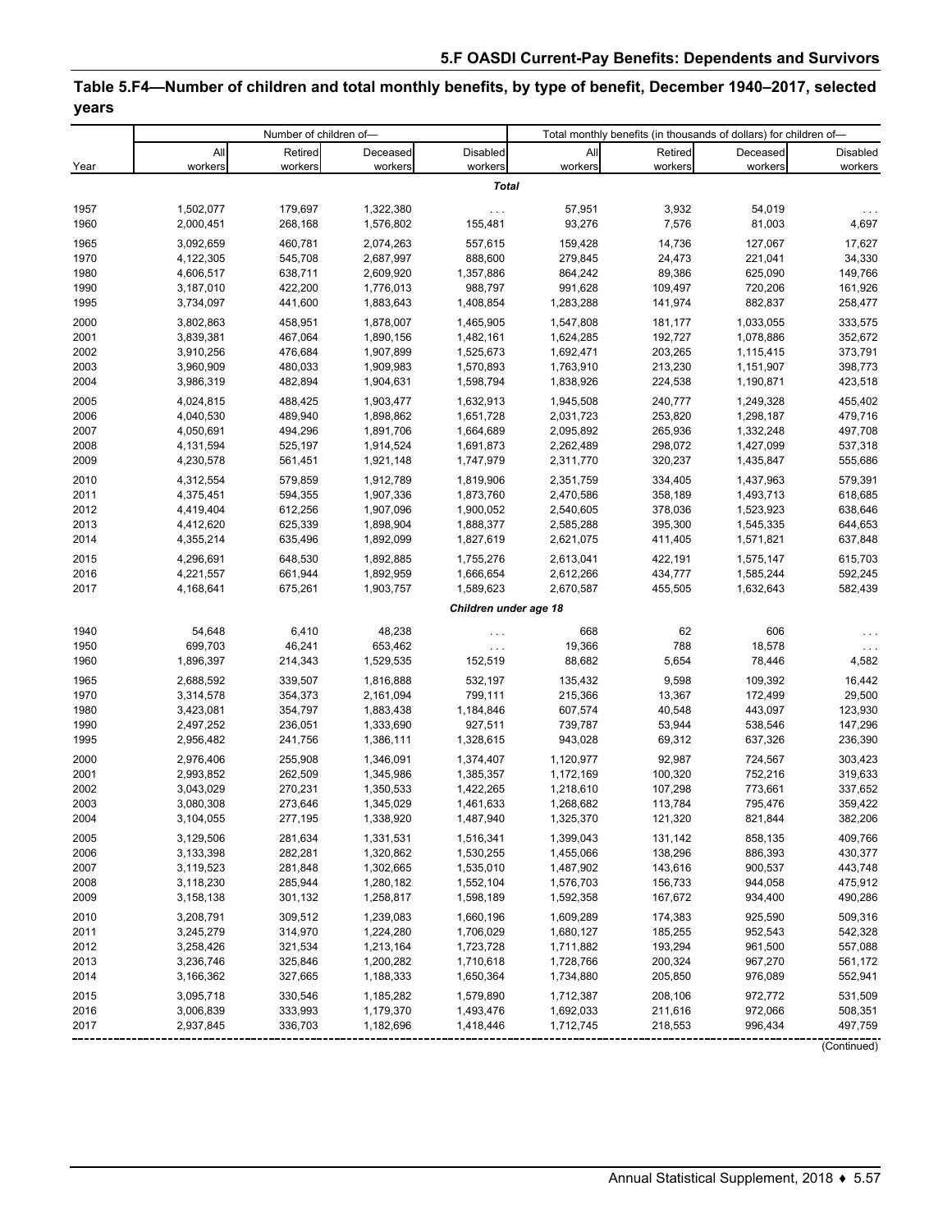# **Table 5.F4—Number of children and total monthly benefits, by type of benefit, December 1940–2017, selected years**

| All<br>Deceased<br>All<br>Retired<br>Deceased<br>Disabled<br>Retired<br>workers<br>workers<br>workers<br>workers<br>workers<br>workers<br>Year<br>workers<br><b>Total</b><br>1957<br>1,502,077<br>179,697<br>1,322,380<br>57,951<br>3,932<br>54,019<br>$\ldots$ | Disabled<br>workers<br>4,697<br>17,627<br>34,330<br>149,766 |
|-----------------------------------------------------------------------------------------------------------------------------------------------------------------------------------------------------------------------------------------------------------------|-------------------------------------------------------------|
|                                                                                                                                                                                                                                                                 |                                                             |
|                                                                                                                                                                                                                                                                 |                                                             |
|                                                                                                                                                                                                                                                                 |                                                             |
|                                                                                                                                                                                                                                                                 |                                                             |
| 1960<br>93,276<br>7,576<br>81,003<br>2,000,451<br>268,168<br>1,576,802<br>155,481                                                                                                                                                                               |                                                             |
| 3,092,659<br>460,781<br>557,615<br>159,428<br>14,736<br>127,067<br>1965<br>2,074,263                                                                                                                                                                            |                                                             |
| 1970<br>4,122,305<br>545,708<br>2,687,997<br>888,600<br>279,845<br>24,473<br>221,041                                                                                                                                                                            |                                                             |
| 89,386<br>625,090<br>1980<br>4,606,517<br>638,711<br>2,609,920<br>1,357,886<br>864,242                                                                                                                                                                          |                                                             |
| 720,206<br>1990<br>3,187,010<br>422,200<br>1,776,013<br>988,797<br>991,628<br>109,497                                                                                                                                                                           | 161,926                                                     |
| 882,837<br>1995<br>3,734,097<br>441,600<br>1,883,643<br>1,408,854<br>1,283,288<br>141,974                                                                                                                                                                       | 258,477                                                     |
| 2000<br>1,465,905<br>1,547,808<br>1,033,055<br>3,802,863<br>458,951<br>1,878,007<br>181,177                                                                                                                                                                     | 333,575                                                     |
| 3,839,381<br>467,064<br>2001<br>1,890,156<br>1,482,161<br>1,624,285<br>192,727<br>1,078,886                                                                                                                                                                     | 352,672                                                     |
| 2002<br>1,525,673<br>1,692,471<br>3,910,256<br>476,684<br>1,907,899<br>203,265<br>1,115,415                                                                                                                                                                     | 373,791                                                     |
| 2003<br>3,960,909<br>480,033<br>1,909,983<br>1,570,893<br>1,763,910<br>213,230<br>1,151,907<br>2004<br>482,894                                                                                                                                                  | 398,773                                                     |
| 3,986,319<br>1,904,631<br>1,598,794<br>1,838,926<br>224,538<br>1,190,871                                                                                                                                                                                        | 423,518                                                     |
| 2005<br>1,632,913<br>4,024,815<br>488,425<br>1,903,477<br>1,945,508<br>240,777<br>1,249,328                                                                                                                                                                     | 455,402                                                     |
| 489,940<br>1,651,728<br>2,031,723<br>253,820<br>1,298,187<br>2006<br>4,040,530<br>1,898,862                                                                                                                                                                     | 479,716                                                     |
| 2007<br>2,095,892<br>265,936<br>4,050,691<br>494,296<br>1,891,706<br>1,664,689<br>1,332,248<br>2008<br>4,131,594<br>525,197<br>1,691,873<br>2,262,489<br>298,072<br>1,427,099<br>1,914,524                                                                      | 497,708<br>537,318                                          |
| 2009<br>4,230,578<br>561,451<br>1,921,148<br>1,747,979<br>2,311,770<br>320,237<br>1,435,847                                                                                                                                                                     | 555,686                                                     |
| 2010<br>579,859<br>2,351,759<br>334,405<br>4,312,554<br>1,912,789<br>1,819,906                                                                                                                                                                                  | 579,391                                                     |
| 1,437,963<br>2011<br>1,873,760<br>358,189<br>1,493,713<br>4,375,451<br>594,355<br>1,907,336<br>2,470,586                                                                                                                                                        | 618,685                                                     |
| 2012<br>612,256<br>2,540,605<br>378,036<br>1,523,923<br>4,419,404<br>1,907,096<br>1,900,052                                                                                                                                                                     | 638,646                                                     |
| 2013<br>625,339<br>1,898,904<br>1,888,377<br>2,585,288<br>395,300<br>1,545,335<br>4,412,620                                                                                                                                                                     | 644,653                                                     |
| 2014<br>4,355,214<br>635,496<br>1,892,099<br>1,827,619<br>2,621,075<br>411,405<br>1,571,821                                                                                                                                                                     | 637,848                                                     |
| 2015<br>4,296,691<br>648,530<br>1,892,885<br>1,755,276<br>2,613,041<br>422,191<br>1,575,147                                                                                                                                                                     | 615,703                                                     |
| 2016<br>2,612,266<br>434,777<br>4,221,557<br>661,944<br>1,892,959<br>1,666,654<br>1,585,244                                                                                                                                                                     | 592,245                                                     |
| 2017<br>4,168,641<br>675,261<br>1,903,757<br>1,589,623<br>2,670,587<br>455,505<br>1,632,643                                                                                                                                                                     | 582,439                                                     |
| Children under age 18                                                                                                                                                                                                                                           |                                                             |
| 1940<br>54,648<br>6,410<br>48,238<br>668<br>62<br>606                                                                                                                                                                                                           |                                                             |
| $\ldots$<br>1950<br>699,703<br>46,241<br>19,366<br>788<br>18,578<br>653,462<br>$\sim$ $\sim$ $\sim$                                                                                                                                                             | $\sim$ $\sim$                                               |
| 1960<br>1,896,397<br>214,343<br>1,529,535<br>152,519<br>88,682<br>5,654<br>78,446                                                                                                                                                                               | 4,582                                                       |
| 1965<br>2,688,592<br>339,507<br>532,197<br>135,432<br>9,598<br>109,392<br>1,816,888                                                                                                                                                                             | 16,442                                                      |
| 1970<br>354,373<br>799,111<br>215,366<br>13,367<br>172,499<br>3,314,578<br>2,161,094                                                                                                                                                                            | 29,500                                                      |
| 1980<br>1,184,846<br>40,548<br>443,097<br>3,423,081<br>354,797<br>1,883,438<br>607,574                                                                                                                                                                          | 123,930                                                     |
| 1990<br>927,511<br>53,944<br>538,546<br>2,497,252<br>236,051<br>1,333,690<br>739,787                                                                                                                                                                            | 147,296                                                     |
| 1995<br>2,956,482<br>241,756<br>1,386,111<br>1,328,615<br>943,028<br>69,312<br>637,326                                                                                                                                                                          | 236,390                                                     |
| 2000<br>2,976,406<br>255,908<br>1,374,407<br>1,120,977<br>92,987<br>724,567<br>1,346,091                                                                                                                                                                        | 303,423                                                     |
| 2001<br>2,993,852<br>262,509<br>1,385,357<br>100,320<br>752,216<br>1,345,986<br>1,172,169                                                                                                                                                                       | 319,633                                                     |
| 2002<br>773,661<br>3,043,029<br>270,231<br>1,350,533<br>1,422,265<br>1,218,610<br>107,298                                                                                                                                                                       | 337,652                                                     |
| 2003<br>3,080,308<br>273,646<br>1,345,029<br>1,461,633<br>1,268,682<br>113,784<br>795,476                                                                                                                                                                       | 359,422                                                     |
| 2004<br>1,487,940<br>1,325,370<br>821,844<br>3,104,055<br>277,195<br>1,338,920<br>121,320                                                                                                                                                                       | 382,206                                                     |
| 2005<br>1,516,341<br>131,142<br>3,129,506<br>281,634<br>1,331,531<br>1,399,043<br>858,135                                                                                                                                                                       | 409,766                                                     |
| 282,281<br>886,393<br>2006<br>3,133,398<br>1,320,862<br>1,530,255<br>1,455,066<br>138,296                                                                                                                                                                       | 430,377                                                     |
| 2007<br>143,616<br>3,119,523<br>281,848<br>1,302,665<br>1,535,010<br>1,487,902<br>900,537                                                                                                                                                                       | 443,748                                                     |
| 2008<br>3,118,230<br>285,944<br>1,280,182<br>1,552,104<br>1,576,703<br>156,733<br>944,058                                                                                                                                                                       | 475,912                                                     |
| 2009<br>3,158,138<br>301,132<br>1,258,817<br>1,598,189<br>1,592,358<br>167,672<br>934,400                                                                                                                                                                       | 490,286                                                     |
| 2010<br>3,208,791<br>309,512<br>1,239,083<br>1,660,196<br>1,609,289<br>174,383<br>925,590                                                                                                                                                                       | 509,316                                                     |
| 314,970<br>2011<br>3,245,279<br>1,224,280<br>1,706,029<br>1,680,127<br>185,255<br>952,543                                                                                                                                                                       | 542,328                                                     |
| 2012<br>3,258,426<br>321,534<br>1,213,164<br>1,723,728<br>1,711,882<br>193,294<br>961,500<br>2013<br>3,236,746<br>325,846<br>1,200,282<br>1,710,618<br>1,728,766<br>200,324<br>967,270                                                                          | 557,088<br>561,172                                          |
| 2014<br>3,166,362<br>327,665<br>1,188,333<br>1,650,364<br>1,734,880<br>205,850<br>976,089                                                                                                                                                                       | 552,941                                                     |
|                                                                                                                                                                                                                                                                 |                                                             |
| 2015<br>330,546<br>1,712,387<br>3,095,718<br>1,185,282<br>1,579,890<br>208,106<br>972,772<br>2016<br>3,006,839<br>333,993<br>1,179,370<br>1,493,476<br>1,692,033<br>211,616<br>972,066                                                                          | 531,509<br>508,351                                          |
| 2017<br>2,937,845<br>336,703<br>1,182,696<br>1,712,745<br>218,553<br>996,434<br>1,418,446                                                                                                                                                                       | 497,759                                                     |
|                                                                                                                                                                                                                                                                 | (Continued)                                                 |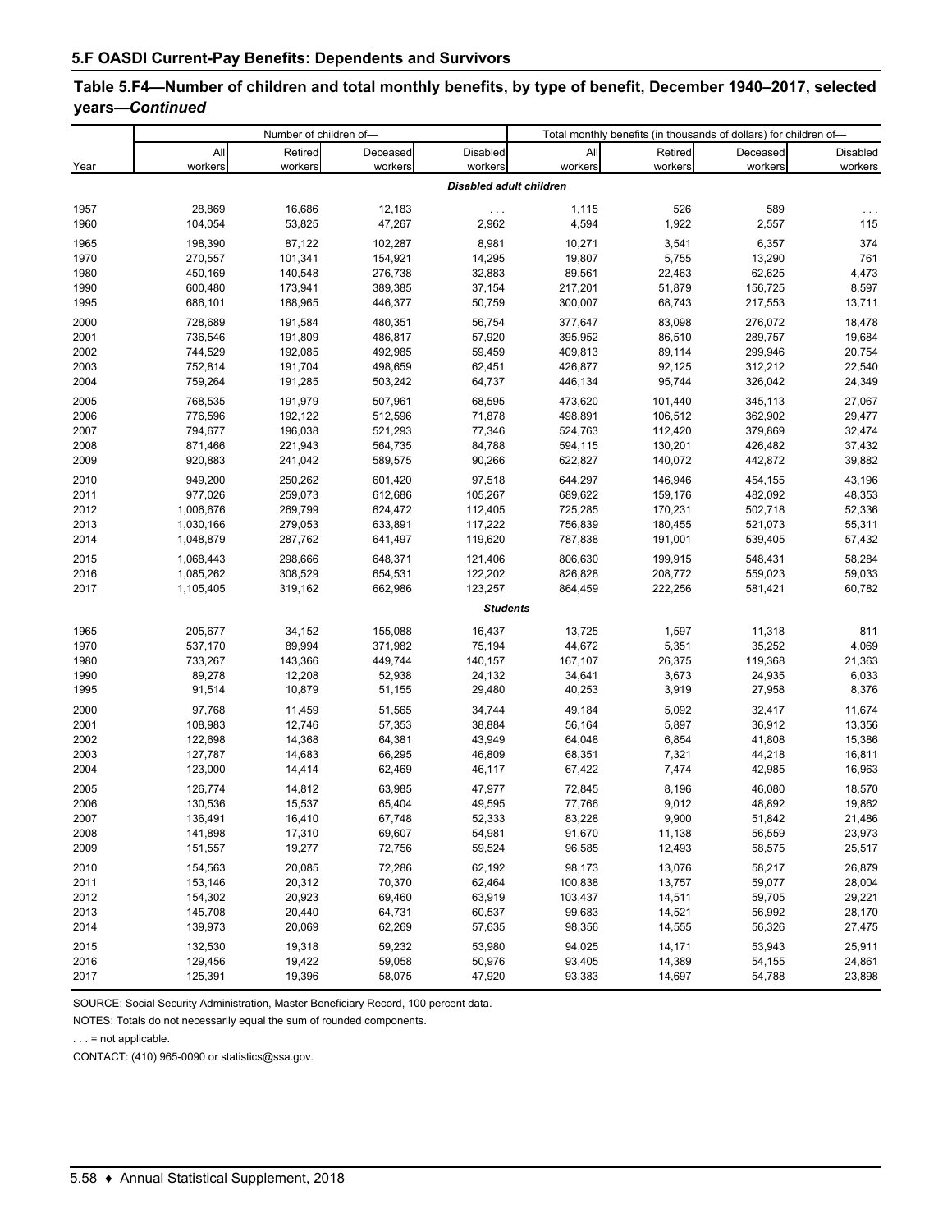# **Table 5.F4—Number of children and total monthly benefits, by type of benefit, December 1940–2017, selected years—***Continued*

|              |                    | Number of children of- |                    |                                |                  |                | Total monthly benefits (in thousands of dollars) for children of- |              |
|--------------|--------------------|------------------------|--------------------|--------------------------------|------------------|----------------|-------------------------------------------------------------------|--------------|
|              | All                | Retired                | Deceased           | Disabled                       | All              | Retired        | Deceased                                                          | Disabled     |
| Year         | workers            | workers                | workers            | workers                        | workers          | workers        | workers                                                           | workers      |
|              |                    |                        |                    | <b>Disabled adult children</b> |                  |                |                                                                   |              |
| 1957         | 28,869             | 16,686                 | 12,183             | $\ldots$ .                     | 1,115            | 526            | 589                                                               |              |
| 1960         | 104,054            | 53,825                 | 47,267             | 2,962                          | 4,594            | 1,922          | 2,557                                                             | 115          |
| 1965         | 198,390            | 87,122                 | 102,287            | 8,981                          | 10,271           | 3,541          | 6,357                                                             | 374          |
| 1970         | 270,557            | 101,341                | 154,921            | 14,295                         | 19,807           | 5,755          | 13,290                                                            | 761          |
| 1980         | 450,169            | 140,548                | 276,738            | 32,883                         | 89,561           | 22,463         | 62,625                                                            | 4,473        |
| 1990         | 600,480            | 173,941                | 389,385            | 37,154                         | 217,201          | 51,879         | 156,725                                                           | 8,597        |
| 1995         | 686,101            | 188,965                | 446,377            | 50,759                         | 300,007          | 68,743         | 217,553                                                           | 13,711       |
| 2000         | 728,689            | 191,584                | 480,351            | 56,754                         | 377,647          | 83,098         | 276,072                                                           | 18,478       |
| 2001         | 736,546            | 191,809                | 486,817            | 57,920                         | 395,952          | 86,510         | 289,757                                                           | 19,684       |
| 2002         | 744,529            | 192,085                | 492,985            | 59,459                         | 409,813          | 89,114         | 299,946                                                           | 20,754       |
| 2003         | 752,814            | 191,704                | 498,659            | 62,451                         | 426,877          | 92,125         | 312,212                                                           | 22,540       |
| 2004         | 759,264            | 191,285                | 503,242            | 64,737                         | 446,134          | 95,744         | 326,042                                                           | 24,349       |
| 2005         | 768,535            | 191,979                | 507,961            | 68,595                         | 473,620          | 101,440        | 345,113                                                           | 27,067       |
| 2006         | 776,596            | 192,122                | 512,596            | 71,878                         | 498,891          | 106,512        | 362,902                                                           | 29,477       |
| 2007         | 794,677            | 196,038                | 521,293            | 77,346                         | 524,763          | 112,420        | 379,869                                                           | 32,474       |
| 2008         | 871,466            | 221,943                | 564,735            | 84,788                         | 594,115          | 130,201        | 426,482                                                           | 37,432       |
| 2009         | 920,883            | 241,042                | 589,575            | 90,266                         | 622,827          | 140,072        | 442,872                                                           | 39,882       |
| 2010         | 949,200            | 250,262                | 601,420            | 97,518                         | 644,297          | 146,946        | 454,155                                                           | 43,196       |
| 2011         | 977,026            | 259,073                | 612,686            | 105,267                        | 689,622          | 159,176        | 482,092                                                           | 48,353       |
| 2012         | 1,006,676          | 269,799                | 624,472            | 112,405                        | 725,285          | 170,231        | 502,718                                                           | 52,336       |
| 2013         | 1,030,166          | 279,053                | 633,891            | 117,222                        | 756,839          | 180,455        | 521,073                                                           | 55,311       |
| 2014         | 1,048,879          | 287,762                | 641,497            | 119,620                        | 787,838          | 191,001        | 539,405                                                           | 57,432       |
| 2015         | 1,068,443          | 298,666                | 648,371            | 121,406                        | 806,630          | 199,915        | 548,431                                                           | 58,284       |
| 2016         | 1,085,262          | 308,529                | 654,531            | 122,202                        | 826,828          | 208,772        | 559,023                                                           | 59,033       |
| 2017         | 1,105,405          | 319,162                | 662,986            | 123,257                        | 864,459          | 222,256        | 581,421                                                           | 60,782       |
|              |                    |                        |                    | <b>Students</b>                |                  |                |                                                                   |              |
|              |                    |                        |                    |                                |                  |                |                                                                   |              |
| 1965<br>1970 | 205,677<br>537,170 | 34,152<br>89,994       | 155,088<br>371,982 | 16,437<br>75,194               | 13,725<br>44,672 | 1,597<br>5,351 | 11,318<br>35,252                                                  | 811<br>4,069 |
| 1980         | 733,267            | 143,366                | 449,744            | 140,157                        | 167,107          | 26,375         | 119,368                                                           | 21,363       |
| 1990         | 89,278             | 12,208                 | 52,938             | 24,132                         | 34,641           | 3,673          | 24,935                                                            | 6,033        |
| 1995         | 91,514             | 10,879                 | 51,155             | 29,480                         | 40,253           | 3,919          | 27,958                                                            | 8,376        |
|              |                    |                        |                    |                                |                  |                |                                                                   |              |
| 2000         | 97,768             | 11,459                 | 51,565             | 34,744                         | 49,184           | 5,092          | 32,417                                                            | 11,674       |
| 2001         | 108,983            | 12,746                 | 57,353             | 38,884                         | 56,164           | 5,897          | 36,912                                                            | 13,356       |
| 2002         | 122,698            | 14,368                 | 64,381             | 43,949                         | 64,048           | 6,854          | 41,808                                                            | 15,386       |
| 2003         | 127,787<br>123,000 | 14,683                 | 66,295             | 46,809                         | 68,351           | 7,321          | 44,218                                                            | 16,811       |
| 2004         |                    | 14,414                 | 62,469             | 46,117                         | 67,422           | 7,474          | 42,985                                                            | 16,963       |
| 2005         | 126,774            | 14,812                 | 63,985             | 47,977                         | 72,845           | 8,196          | 46,080                                                            | 18,570       |
| 2006         | 130,536            | 15,537                 | 65,404             | 49,595                         | 77,766           | 9,012          | 48,892                                                            | 19,862       |
| 2007         | 136,491            | 16,410                 | 67,748             | 52,333                         | 83,228           | 9,900          | 51,842                                                            | 21,486       |
| 2008         | 141,898            | 17,310                 | 69,607             | 54,981                         | 91,670           | 11,138         | 56,559                                                            | 23,973       |
| 2009         | 151,557            | 19,277                 | 72,756             | 59,524                         | 96,585           | 12,493         | 58,575                                                            | 25,517       |
| 2010         | 154,563            | 20,085                 | 72,286             | 62,192                         | 98,173           | 13,076         | 58,217                                                            | 26,879       |
| 2011         | 153,146            | 20,312                 | 70,370             | 62,464                         | 100,838          | 13,757         | 59,077                                                            | 28,004       |
| 2012         | 154,302            | 20,923                 | 69,460             | 63,919                         | 103,437          | 14,511         | 59,705                                                            | 29,221       |
| 2013         | 145,708            | 20,440                 | 64,731             | 60,537                         | 99,683           | 14,521         | 56,992                                                            | 28,170       |
| 2014         | 139,973            | 20,069                 | 62,269             | 57,635                         | 98,356           | 14,555         | 56,326                                                            | 27,475       |
| 2015         | 132,530            | 19,318                 | 59,232             | 53,980                         | 94,025           | 14,171         | 53,943                                                            | 25,911       |
| 2016         | 129,456            | 19,422                 | 59,058             | 50,976                         | 93,405           | 14,389         | 54,155                                                            | 24,861       |
| 2017         | 125,391            | 19,396                 | 58,075             | 47,920                         | 93,383           | 14,697         | 54,788                                                            | 23,898       |

SOURCE: Social Security Administration, Master Beneficiary Record, 100 percent data.

NOTES: Totals do not necessarily equal the sum of rounded components.

. . . = not applicable.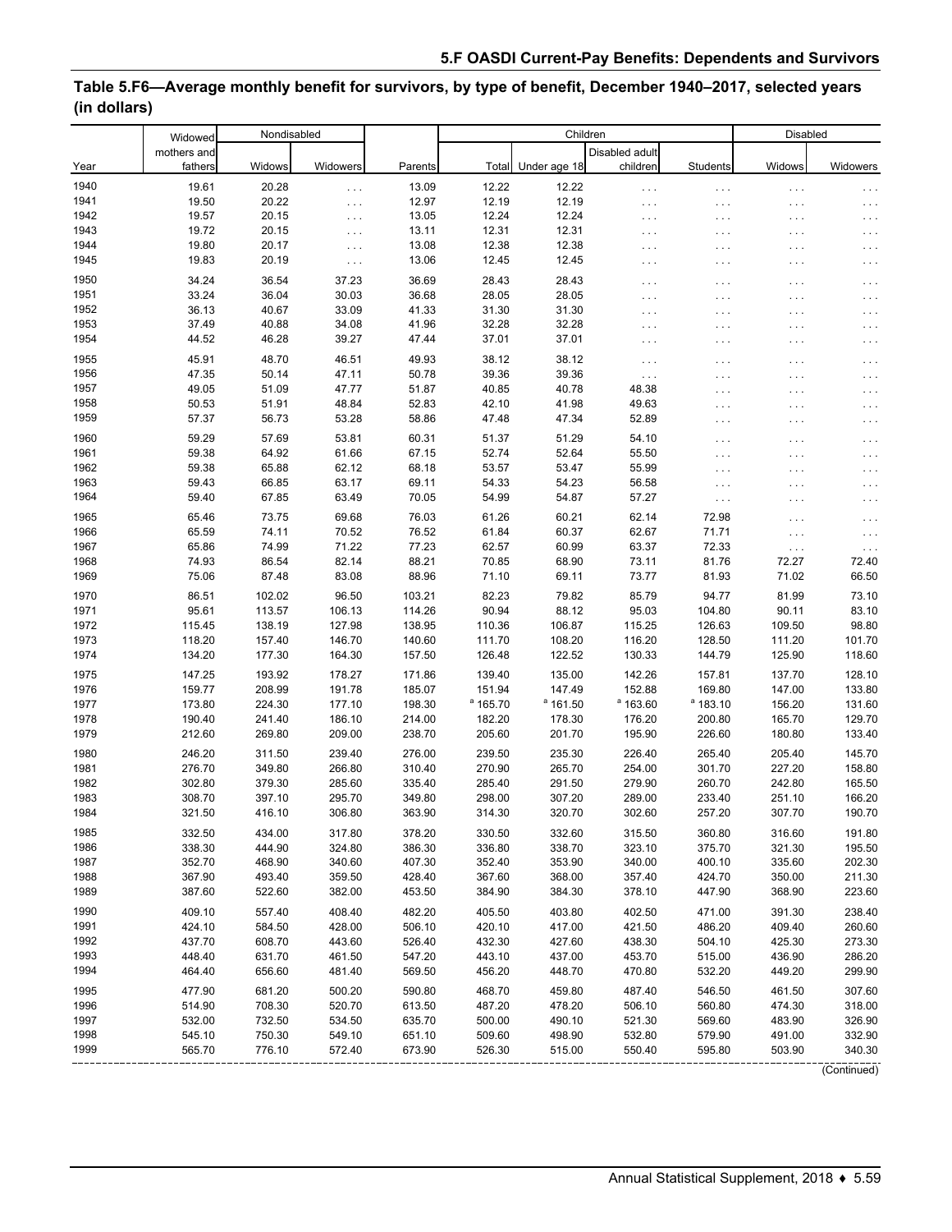#### Widows Widowers Parents Total Under age 18 Disabled adult children Students Widows Widowers 19.61 20.28 . . . 13.09 12.22 12.22 . . . . . . . . . . . . 19.50 20.22 . . . 12.97 12.19 12.19 . . . . . . . . . . . . 19.57 20.15 . . . 13.05 12.24 12.24 . . . . . . . . . . . . 19.72 20.15 . . . 13.11 12.31 12.31 . . . . . . . . . . . . 19.80 20.17 . . . 13.08 12.38 12.38 . . . . . . . . . . . . 19.83 20.19 . . . 13.06 12.45 12.45 . . . . . . . . . . . . 34.24 36.54 37.23 36.69 28.43 28.43 . . . . . . . . . . . .  $33.24$   $36.04$   $30.03$   $36.68$   $28.05$   $28.05$   $38.05$   $38.04$   $30.03$   $30.03$   $30.03$   $30.03$   $30.03$   $30.03$   $30.03$   $30.03$   $30.03$   $30.03$   $30.03$   $30.03$   $30.03$   $30.03$   $30.03$   $30.03$   $30.03$   $30.03$   $30.03$   $30.0$ 36.13 40.67 33.09 41.33 31.30 31.30 . . . . . . . . . . . . 37.49 40.88 34.08 41.96 32.28 32.28 . . . . . . . . . . . . 44.52 46.28 39.27 47.44 37.01 37.01 . . . . . . . . . . . . 45.91 48.70 46.51 49.93 38.12 38.12 . . . . . . . . . . . . 47.35 50.14 47.11 50.78 39.36 39.36 . . . . . . . . . . . . 49.05 51.09 47.77 51.87 40.85 40.78 48.38 . . . . . . 50.53 51.91 48.84 52.83 42.10 41.98 49.63 . . . . . . . . . 57.37 56.73 53.28 58.86 47.48 47.34 52.89 . . . . . . . . . 59.29 57.69 53.81 60.31 51.37 51.29 54.10 . . . . . . 59.38 64.92 61.66 67.15 52.74 52.64 55.50 . . . . . . 59.38 65.88 62.12 68.18 53.57 53.47 55.99 . . . . . . . . . 59.43 66.85 63.17 69.11 54.33 54.23 56.58 . . . . . . . . . 59.40 67.85 63.49 70.05 54.99 54.87 57.27 . . . . . . . . . 65.46 73.75 69.68 76.03 61.26 60.21 62.14 72.98 . . . . . . 65.59 74.11 70.52 76.52 61.84 60.37 62.67 71.71 . . . . . . 65.86 74.99 71.22 77.23 62.57 60.99 63.37 72.33 . . . . . . 74.93 86.54 82.14 88.21 70.85 68.90 73.11 81.76 72.27 72.40 75.06 87.48 83.08 88.96 71.10 69.11 73.77 81.93 71.02 66.50 86.51 102.02 96.50 103.21 82.23 79.82 85.79 94.77 81.99 73.10 95.61 113.57 106.13 114.26 90.94 88.12 95.03 104.80 90.11 83.10 115.45 138.19 127.98 138.95 110.36 106.87 115.25 126.63 109.50 98.80 118.20 157.40 146.70 140.60 111.70 108.20 116.20 128.50 111.20 101.70 134.20 177.30 164.30 157.50 126.48 122.52 130.33 144.79 125.90 118.60 147.25 193.92 178.27 171.86 139.40 135.00 142.26 157.81 137.70 128.10 159.77 208.99 191.78 185.07 151.94 147.49 152.88 169.80 147.00 133.80 173.80 224.30 177.10 198.30 <sup>a</sup>  $a$  165.70  $a$  161.50  $^a$  163.60 a 183.10 156.20 131.60 190.40 241.40 186.10 214.00 182.20 178.30 176.20 200.80 165.70 129.70 212.60 269.80 209.00 238.70 205.60 201.70 195.90 226.60 180.80 133.40 246.20 311.50 239.40 276.00 239.50 235.30 226.40 265.40 205.40 145.70 276.70 349.80 266.80 310.40 270.90 265.70 254.00 301.70 227.20 158.80 302.80 379.30 285.60 335.40 285.40 291.50 279.90 260.70 242.80 165.50 308.70 397.10 295.70 349.80 298.00 307.20 289.00 233.40 251.10 166.20 321.50 416.10 306.80 363.90 314.30 320.70 302.60 257.20 307.70 190.70 332.50 434.00 317.80 378.20 330.50 332.60 315.50 360.80 316.60 191.80 338.30 444.90 324.80 386.30 336.80 338.70 323.10 375.70 321.30 195.50 352.70 468.90 340.60 407.30 352.40 353.90 340.00 400.10 335.60 202.30 367.90 493.40 359.50 428.40 367.60 368.00 357.40 424.70 350.00 211.30 387.60 522.60 382.00 453.50 384.90 384.30 378.10 447.90 368.90 223.60 409.10 557.40 408.40 482.20 405.50 403.80 402.50 471.00 391.30 238.40 424.10 584.50 428.00 506.10 420.10 417.00 421.50 486.20 409.40 260.60 437.70 608.70 443.60 526.40 432.30 427.60 438.30 504.10 425.30 273.30 448.40 631.70 461.50 547.20 443.10 437.00 453.70 515.00 436.90 286.20 464.40 656.60 481.40 569.50 456.20 448.70 470.80 532.20 449.20 299.90 477.90 681.20 500.20 590.80 468.70 459.80 487.40 546.50 461.50 307.60 514.90 708.30 520.70 613.50 487.20 478.20 506.10 560.80 474.30 318.00 532.00 732.50 534.50 635.70 500.00 490.10 521.30 569.60 483.90 326.90 545.10 750.30 549.10 651.10 509.60 498.90 532.80 579.90 491.00 332.90 565.70 776.10 572.40 673.90 526.30 515.00 550.40 595.80 503.90 340.30 1991 1992 1993 1994 1995 1996 1997 1998 1999 1990 1979 1980 1981 1982 1983 1984 1985 1986 1987 1988 1989 1978 1967 1968 1969 1970 1971 1972 1973 1974 1975 1976 1977 1961 1962 1963 1964 1965 Year 1940 1941 1942 1943 1944 1945 1950 1951 1952 1953 1966 1955 Widowed mothers and fathers Nondisabled **Parents** Children Disabled 1954 1956 1957 1958 1959 1960

#### **Table 5.F6—Average monthly benefit for survivors, by type of benefit, December 1940–2017, selected years (in dollars)**

(Continued)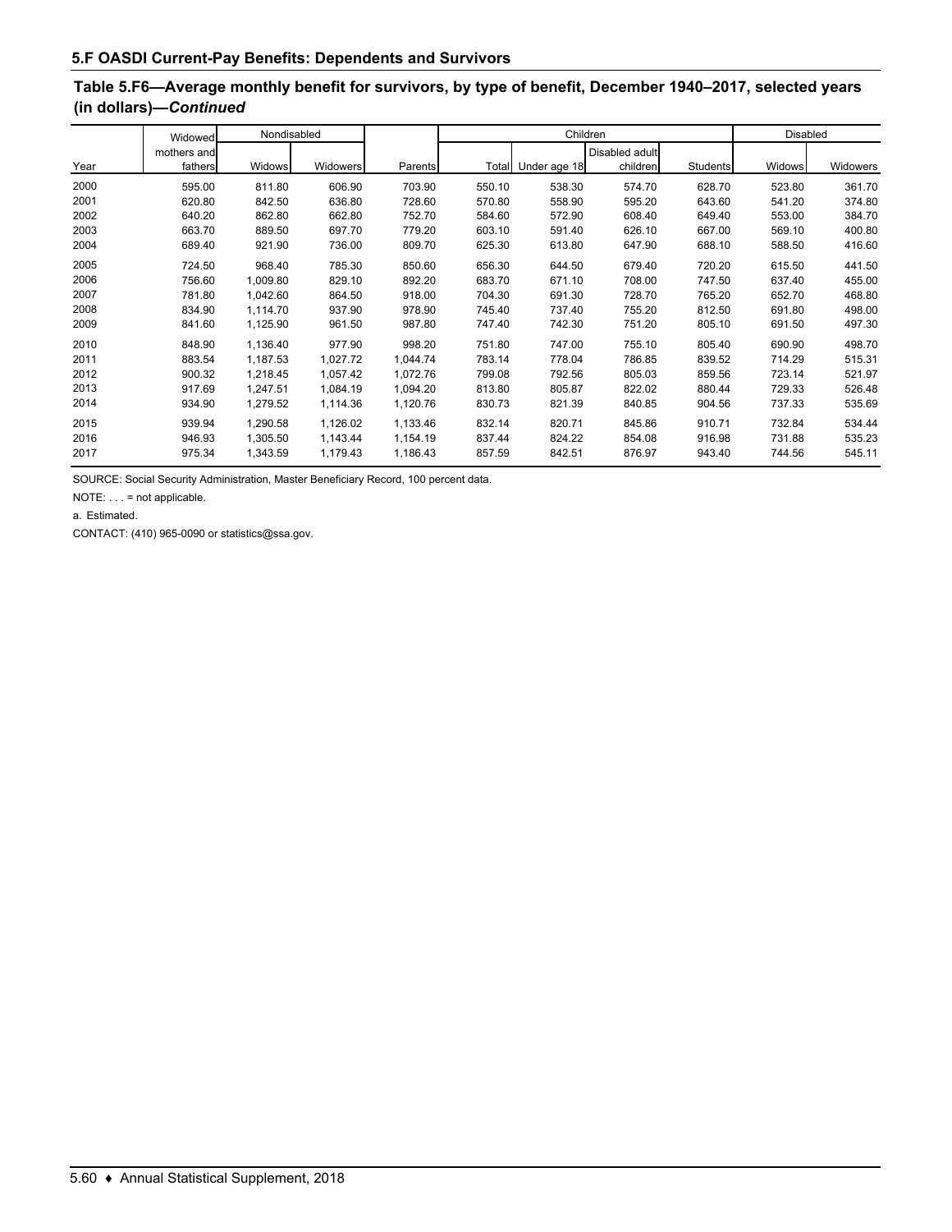# **Table 5.F6—Average monthly benefit for survivors, by type of benefit, December 1940–2017, selected years (in dollars)—***Continued*

|      | Nondisabled<br>Widowed |          |          |          |        | Children           |                | <b>Disabled</b> |               |          |
|------|------------------------|----------|----------|----------|--------|--------------------|----------------|-----------------|---------------|----------|
|      | mothers and            |          |          |          |        |                    | Disabled adult |                 |               |          |
| Year | fathers                | Widows   | Widowers | Parents  |        | Total Under age 18 | children       | Students        | <b>Widows</b> | Widowers |
| 2000 | 595.00                 | 811.80   | 606.90   | 703.90   | 550.10 | 538.30             | 574.70         | 628.70          | 523.80        | 361.70   |
| 2001 | 620.80                 | 842.50   | 636.80   | 728.60   | 570.80 | 558.90             | 595.20         | 643.60          | 541.20        | 374.80   |
| 2002 | 640.20                 | 862.80   | 662.80   | 752.70   | 584.60 | 572.90             | 608.40         | 649.40          | 553.00        | 384.70   |
| 2003 | 663.70                 | 889.50   | 697.70   | 779.20   | 603.10 | 591.40             | 626.10         | 667.00          | 569.10        | 400.80   |
| 2004 | 689.40                 | 921.90   | 736.00   | 809.70   | 625.30 | 613.80             | 647.90         | 688.10          | 588.50        | 416.60   |
| 2005 | 724.50                 | 968.40   | 785.30   | 850.60   | 656.30 | 644.50             | 679.40         | 720.20          | 615.50        | 441.50   |
| 2006 | 756.60                 | 1,009.80 | 829.10   | 892.20   | 683.70 | 671.10             | 708.00         | 747.50          | 637.40        | 455.00   |
| 2007 | 781.80                 | 1,042.60 | 864.50   | 918.00   | 704.30 | 691.30             | 728.70         | 765.20          | 652.70        | 468.80   |
| 2008 | 834.90                 | 1,114.70 | 937.90   | 978.90   | 745.40 | 737.40             | 755.20         | 812.50          | 691.80        | 498.00   |
| 2009 | 841.60                 | 1,125.90 | 961.50   | 987.80   | 747.40 | 742.30             | 751.20         | 805.10          | 691.50        | 497.30   |
| 2010 | 848.90                 | 1,136.40 | 977.90   | 998.20   | 751.80 | 747.00             | 755.10         | 805.40          | 690.90        | 498.70   |
| 2011 | 883.54                 | 1,187.53 | 1,027.72 | 1,044.74 | 783.14 | 778.04             | 786.85         | 839.52          | 714.29        | 515.31   |
| 2012 | 900.32                 | 1,218.45 | 1,057.42 | 1,072.76 | 799.08 | 792.56             | 805.03         | 859.56          | 723.14        | 521.97   |
| 2013 | 917.69                 | 1,247.51 | 1,084.19 | 1,094.20 | 813.80 | 805.87             | 822.02         | 880.44          | 729.33        | 526.48   |
| 2014 | 934.90                 | 1,279.52 | 1,114.36 | 1,120.76 | 830.73 | 821.39             | 840.85         | 904.56          | 737.33        | 535.69   |
| 2015 | 939.94                 | 1,290.58 | 1,126.02 | 1,133.46 | 832.14 | 820.71             | 845.86         | 910.71          | 732.84        | 534.44   |
| 2016 | 946.93                 | 1,305.50 | 1,143.44 | 1,154.19 | 837.44 | 824.22             | 854.08         | 916.98          | 731.88        | 535.23   |
| 2017 | 975.34                 | 1,343.59 | 1,179.43 | 1,186.43 | 857.59 | 842.51             | 876.97         | 943.40          | 744.56        | 545.11   |

SOURCE: Social Security Administration, Master Beneficiary Record, 100 percent data.

NOTE: . . . = not applicable.

a. Estimated.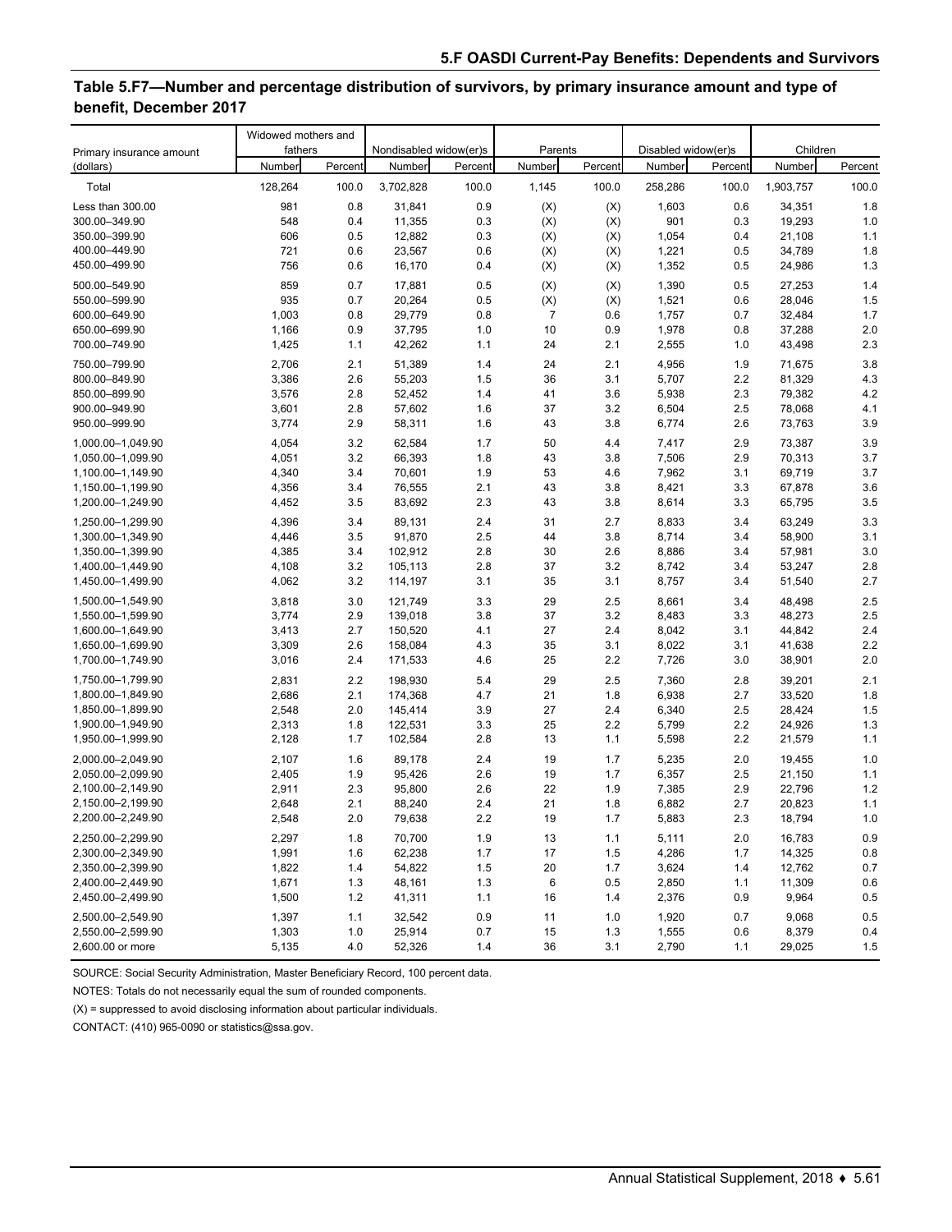### **Table 5.F7—Number and percentage distribution of survivors, by primary insurance amount and type of benefit, December 2017**

| Primary insurance amount | Widowed mothers and<br>fathers |         | Nondisabled widow(er)s |         | Parents |         | Disabled widow(er)s |         | Children  |         |
|--------------------------|--------------------------------|---------|------------------------|---------|---------|---------|---------------------|---------|-----------|---------|
| (dollars)                | Number                         | Percent | Number                 | Percent | Number  | Percent | Number              | Percent | Number    | Percent |
| Total                    | 128,264                        | 100.0   | 3,702,828              | 100.0   | 1,145   | 100.0   | 258,286             | 100.0   | 1,903,757 | 100.0   |
| Less than 300.00         | 981                            | 0.8     | 31,841                 | 0.9     | (X)     | (X)     | 1,603               | 0.6     | 34,351    | 1.8     |
| 300.00-349.90            | 548                            | 0.4     | 11,355                 | 0.3     | (X)     | (X)     | 901                 | 0.3     | 19,293    | 1.0     |
| 350.00-399.90            | 606                            | 0.5     | 12,882                 | 0.3     | (X)     | (X)     | 1,054               | 0.4     | 21,108    | 1.1     |
| 400.00-449.90            | 721                            | 0.6     | 23,567                 | 0.6     | (X)     | (X)     | 1,221               | 0.5     | 34,789    | 1.8     |
| 450.00-499.90            | 756                            | 0.6     | 16,170                 | 0.4     | (X)     | (X)     | 1,352               | 0.5     | 24,986    | 1.3     |
| 500.00-549.90            | 859                            | 0.7     | 17,881                 | 0.5     | (X)     | (X)     | 1,390               | 0.5     | 27,253    | 1.4     |
| 550.00-599.90            | 935                            | 0.7     | 20,264                 | 0.5     | (X)     | (X)     | 1,521               | 0.6     | 28,046    | 1.5     |
| 600.00-649.90            | 1,003                          | 0.8     | 29,779                 | 0.8     | 7       | 0.6     | 1,757               | 0.7     | 32,484    | 1.7     |
| 650.00-699.90            | 1,166                          | 0.9     | 37,795                 | 1.0     | 10      | 0.9     | 1,978               | 0.8     | 37,288    | 2.0     |
| 700.00-749.90            | 1,425                          | 1.1     | 42,262                 | 1.1     | 24      | 2.1     | 2,555               | 1.0     | 43,498    | $2.3$   |
| 750.00-799.90            | 2,706                          | 2.1     | 51,389                 | 1.4     | 24      | 2.1     | 4,956               | 1.9     | 71,675    | 3.8     |
| 800.00-849.90            | 3,386                          | 2.6     | 55,203                 | 1.5     | 36      | 3.1     | 5,707               | 2.2     | 81,329    | 4.3     |
| 850.00-899.90            | 3,576                          | 2.8     | 52,452                 | 1.4     | 41      | 3.6     | 5,938               | 2.3     | 79,382    | 4.2     |
| 900.00-949.90            | 3,601                          | 2.8     | 57,602                 | 1.6     | 37      | 3.2     | 6,504               | 2.5     | 78,068    | 4.1     |
| 950.00-999.90            | 3,774                          | 2.9     | 58,311                 | 1.6     | 43      | 3.8     | 6,774               | 2.6     | 73,763    | 3.9     |
| 1.000.00-1.049.90        | 4,054                          | 3.2     | 62,584                 | 1.7     | 50      | 4.4     | 7,417               | 2.9     | 73,387    | 3.9     |
| 1,050.00-1,099.90        | 4,051                          | 3.2     | 66,393                 | 1.8     | 43      | 3.8     | 7,506               | 2.9     | 70,313    | 3.7     |
| 1,100.00-1,149.90        | 4,340                          | 3.4     | 70,601                 | 1.9     | 53      | 4.6     | 7,962               | 3.1     | 69,719    | 3.7     |
| 1,150.00-1,199.90        | 4,356                          | 3.4     | 76,555                 | 2.1     | 43      | 3.8     | 8,421               | 3.3     | 67,878    | 3.6     |
| 1,200.00-1,249.90        | 4,452                          | 3.5     | 83,692                 | 2.3     | 43      | 3.8     | 8,614               | 3.3     | 65,795    | 3.5     |
| 1,250.00-1,299.90        | 4,396                          | 3.4     | 89,131                 | 2.4     | 31      | 2.7     | 8,833               | 3.4     | 63,249    | 3.3     |
| 1,300.00-1,349.90        | 4,446                          | 3.5     | 91,870                 | 2.5     | 44      | 3.8     | 8,714               | 3.4     | 58,900    | 3.1     |
| 1,350.00-1,399.90        | 4,385                          | 3.4     | 102,912                | 2.8     | 30      | 2.6     | 8,886               | 3.4     | 57,981    | 3.0     |
| 1,400.00-1,449.90        | 4,108                          | 3.2     | 105,113                | 2.8     | 37      | 3.2     | 8,742               | 3.4     | 53,247    | 2.8     |
| 1,450.00-1,499.90        | 4,062                          | 3.2     | 114,197                | 3.1     | 35      | 3.1     | 8,757               | 3.4     | 51,540    | 2.7     |
| 1,500.00-1,549.90        | 3,818                          | 3.0     | 121,749                | 3.3     | 29      | 2.5     | 8,661               | 3.4     | 48,498    | 2.5     |
| 1,550.00-1,599.90        | 3,774                          | 2.9     | 139,018                | 3.8     | 37      | 3.2     | 8,483               | 3.3     | 48,273    | 2.5     |
| 1,600.00-1,649.90        | 3,413                          | 2.7     | 150,520                | 4.1     | 27      | 2.4     | 8,042               | 3.1     | 44,842    | 2.4     |
| 1,650.00-1,699.90        | 3,309                          | 2.6     | 158,084                | 4.3     | 35      | 3.1     | 8,022               | 3.1     | 41,638    | 2.2     |
| 1,700.00-1,749.90        | 3,016                          | 2.4     | 171,533                | 4.6     | 25      | 2.2     | 7,726               | 3.0     | 38,901    | 2.0     |
| 1,750.00-1,799.90        | 2,831                          | 2.2     | 198,930                | 5.4     | 29      | 2.5     | 7,360               | 2.8     | 39,201    | 2.1     |
| 1,800.00-1,849.90        | 2,686                          | 2.1     | 174,368                | 4.7     | 21      | 1.8     | 6,938               | 2.7     | 33,520    | 1.8     |
| 1,850.00-1,899.90        | 2,548                          | 2.0     | 145,414                | 3.9     | 27      | 2.4     | 6,340               | 2.5     | 28,424    | 1.5     |
| 1,900.00-1,949.90        | 2,313                          | 1.8     | 122,531                | 3.3     | 25      | 2.2     | 5,799               | $2.2\,$ | 24,926    | 1.3     |
| 1,950.00-1,999.90        | 2,128                          | 1.7     | 102,584                | 2.8     | 13      | 1.1     | 5,598               | 2.2     | 21,579    | 1.1     |
| 2,000.00-2,049.90        | 2,107                          | 1.6     | 89,178                 | 2.4     | 19      | 1.7     | 5,235               | 2.0     | 19,455    | 1.0     |
| 2,050.00-2,099.90        | 2,405                          | 1.9     | 95,426                 | 2.6     | 19      | 1.7     | 6,357               | 2.5     | 21,150    | 1.1     |
| 2,100.00-2,149.90        | 2,911                          | 2.3     | 95,800                 | 2.6     | 22      | 1.9     | 7,385               | 2.9     | 22,796    | 1.2     |
| 2,150.00-2,199.90        | 2,648                          | 2.1     | 88,240                 | 2.4     | 21      | 1.8     | 6,882               | 2.7     | 20,823    | 1.1     |
| 2,200.00-2,249.90        | 2,548                          | 2.0     | 79,638                 | 2.2     | 19      | 1.7     | 5,883               | 2.3     | 18,794    | 1.0     |
| 2,250.00-2,299.90        | 2,297                          | 1.8     | 70,700                 | 1.9     | 13      | 1.1     | 5,111               | 2.0     | 16,783    | 0.9     |
| 2,300.00-2,349.90        | 1,991                          | 1.6     | 62,238                 | 1.7     | 17      | 1.5     | 4,286               | 1.7     | 14,325    | 0.8     |
| 2,350.00-2,399.90        | 1,822                          | 1.4     | 54,822                 | 1.5     | 20      | 1.7     | 3,624               | 1.4     | 12,762    | 0.7     |
| 2,400.00-2,449.90        | 1,671                          | 1.3     | 48,161                 | 1.3     | 6       | 0.5     | 2,850               | 1.1     | 11,309    | 0.6     |
| 2,450.00-2,499.90        | 1,500                          | $1.2$   | 41,311                 | 1.1     | 16      | 1.4     | 2,376               | 0.9     | 9,964     | 0.5     |
| 2,500.00-2,549.90        | 1,397                          | 1.1     | 32,542                 | 0.9     | 11      | 1.0     | 1,920               | 0.7     | 9,068     | 0.5     |
| 2,550.00-2,599.90        | 1,303                          | $1.0$   | 25,914                 | 0.7     | 15      | 1.3     | 1,555               | 0.6     | 8,379     | 0.4     |
| 2,600.00 or more         | 5,135                          | 4.0     | 52,326                 | 1.4     | 36      | 3.1     | 2,790               | 1.1     | 29,025    | 1.5     |

SOURCE: Social Security Administration, Master Beneficiary Record, 100 percent data.

NOTES: Totals do not necessarily equal the sum of rounded components.

(X) = suppressed to avoid disclosing information about particular individuals.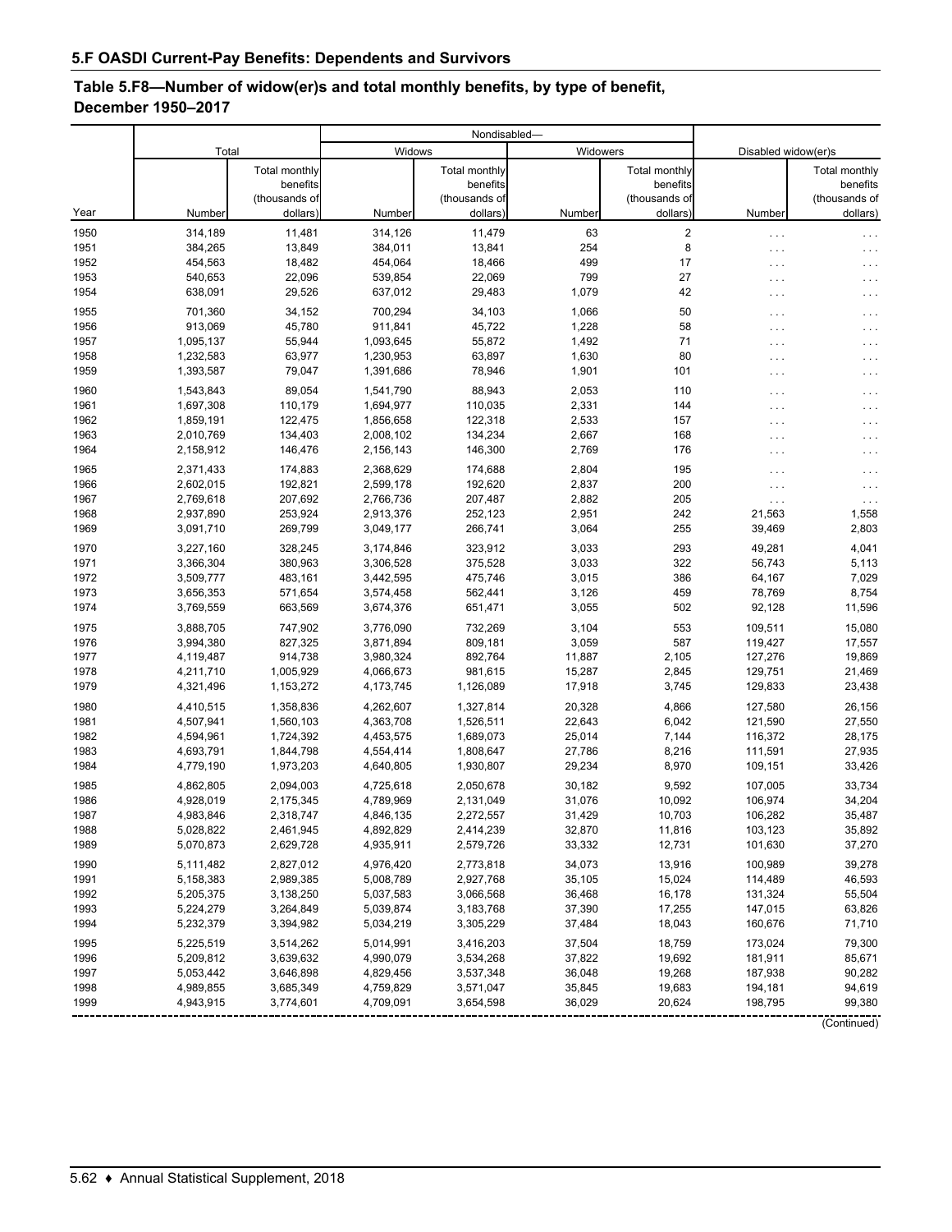### **Table 5.F8—Number of widow(er)s and total monthly benefits, by type of benefit, December 1950–2017**

|              |                        |                    |                        | Nondisabled-       |                |                      |                     |                    |  |
|--------------|------------------------|--------------------|------------------------|--------------------|----------------|----------------------|---------------------|--------------------|--|
|              | Total                  |                    |                        | Widows             | Widowers       |                      | Disabled widow(er)s |                    |  |
|              |                        | Total monthly      |                        | Total monthly      |                | <b>Total monthly</b> |                     | Total monthly      |  |
|              |                        | benefits           |                        | benefits           |                | benefits             |                     | benefits           |  |
|              |                        | (thousands of      |                        | (thousands of      |                | (thousands of        |                     | (thousands of      |  |
| Year         | Number                 | dollars)           | Number                 | dollars)           | Number         | dollars)             | Number              | dollars)           |  |
| 1950         | 314,189                | 11,481             | 314,126                | 11,479             | 63             | $\sqrt{2}$           | $\ldots$            |                    |  |
| 1951         | 384,265                | 13,849             | 384,011                | 13,841             | 254            | 8                    | .                   | .                  |  |
| 1952         | 454,563                | 18,482             | 454,064                | 18,466             | 499            | 17                   | .                   | .                  |  |
| 1953<br>1954 | 540,653<br>638,091     | 22,096<br>29,526   | 539,854<br>637,012     | 22,069<br>29,483   | 799<br>1,079   | 27<br>42             | .                   |                    |  |
|              |                        |                    |                        |                    |                |                      | $\cdots$            | .                  |  |
| 1955         | 701,360                | 34,152             | 700,294                | 34,103             | 1,066          | 50                   | .                   | $\cdots$           |  |
| 1956         | 913,069                | 45,780             | 911,841                | 45,722             | 1,228          | 58                   | .                   | $\cdots$           |  |
| 1957<br>1958 | 1,095,137<br>1,232,583 | 55,944<br>63,977   | 1,093,645<br>1,230,953 | 55,872<br>63,897   | 1,492<br>1,630 | 71<br>80             | .                   | $\sim$ .           |  |
| 1959         | 1,393,587              | 79,047             | 1,391,686              | 78,946             | 1,901          | 101                  | .                   | $\cdots$           |  |
|              |                        |                    |                        |                    |                |                      | .                   | .                  |  |
| 1960         | 1,543,843              | 89,054             | 1,541,790              | 88,943             | 2,053          | 110                  | .                   | .                  |  |
| 1961<br>1962 | 1,697,308<br>1,859,191 | 110,179<br>122,475 | 1,694,977<br>1,856,658 | 110,035<br>122,318 | 2,331<br>2,533 | 144<br>157           | .                   | .                  |  |
| 1963         | 2,010,769              | 134,403            | 2,008,102              | 134,234            | 2,667          | 168                  | .                   | .                  |  |
| 1964         | 2,158,912              | 146,476            | 2,156,143              | 146,300            | 2,769          | 176                  | .<br>.              | .                  |  |
|              |                        |                    |                        |                    |                |                      |                     |                    |  |
| 1965<br>1966 | 2,371,433<br>2,602,015 | 174,883<br>192.821 | 2,368,629<br>2,599,178 | 174,688<br>192,620 | 2,804<br>2,837 | 195<br>200           | .                   | $\sim$             |  |
| 1967         | 2,769,618              | 207,692            | 2,766,736              | 207,487            | 2,882          | 205                  | $\cdots$            | $\cdots$           |  |
| 1968         | 2,937,890              | 253,924            | 2,913,376              | 252,123            | 2,951          | 242                  | .<br>21,563         | $\ddotsc$<br>1,558 |  |
| 1969         | 3,091,710              | 269,799            | 3,049,177              | 266,741            | 3,064          | 255                  | 39,469              | 2,803              |  |
| 1970         |                        |                    |                        | 323,912            | 3,033          | 293                  | 49,281              | 4,041              |  |
| 1971         | 3,227,160<br>3,366,304 | 328,245<br>380,963 | 3,174,846<br>3,306,528 | 375,528            | 3,033          | 322                  | 56,743              | 5,113              |  |
| 1972         | 3,509,777              | 483,161            | 3,442,595              | 475,746            | 3,015          | 386                  | 64,167              | 7,029              |  |
| 1973         | 3,656,353              | 571,654            | 3,574,458              | 562,441            | 3,126          | 459                  | 78,769              | 8,754              |  |
| 1974         | 3,769,559              | 663,569            | 3,674,376              | 651,471            | 3,055          | 502                  | 92,128              | 11,596             |  |
| 1975         | 3,888,705              | 747,902            | 3,776,090              | 732,269            | 3,104          | 553                  | 109,511             | 15,080             |  |
| 1976         | 3,994,380              | 827,325            | 3,871,894              | 809,181            | 3,059          | 587                  | 119,427             | 17,557             |  |
| 1977         | 4,119,487              | 914,738            | 3,980,324              | 892,764            | 11,887         | 2,105                | 127,276             | 19,869             |  |
| 1978         | 4,211,710              | 1,005,929          | 4,066,673              | 981,615            | 15,287         | 2,845                | 129,751             | 21,469             |  |
| 1979         | 4,321,496              | 1,153,272          | 4,173,745              | 1,126,089          | 17,918         | 3,745                | 129,833             | 23,438             |  |
| 1980         | 4,410,515              | 1,358,836          | 4,262,607              | 1,327,814          | 20,328         | 4,866                | 127,580             | 26,156             |  |
| 1981         | 4,507,941              | 1,560,103          | 4,363,708              | 1,526,511          | 22,643         | 6,042                | 121,590             | 27,550             |  |
| 1982         | 4,594,961              | 1,724,392          | 4,453,575              | 1,689,073          | 25,014         | 7,144                | 116,372             | 28,175             |  |
| 1983         | 4,693,791              | 1,844,798          | 4,554,414              | 1,808,647          | 27,786         | 8,216                | 111,591             | 27,935             |  |
| 1984         | 4,779,190              | 1,973,203          | 4,640,805              | 1,930,807          | 29,234         | 8,970                | 109,151             | 33,426             |  |
| 1985         | 4,862,805              | 2,094,003          | 4,725,618              | 2,050,678          | 30,182         | 9,592                | 107,005             | 33,734             |  |
| 1986         | 4,928,019              | 2,175,345          | 4,789,969              | 2,131,049          | 31,076         | 10,092               | 106,974             | 34,204             |  |
| 1987         | 4,983,846              | 2,318,747          | 4,846,135              | 2,272,557          | 31,429         | 10,703               | 106,282             | 35,487             |  |
| 1988         | 5,028,822              | 2,461,945          | 4,892,829              | 2,414,239          | 32,870         | 11,816               | 103,123             | 35,892             |  |
| 1989         | 5,070,873              | 2,629,728          | 4,935,911              | 2,579,726          | 33,332         | 12,731               | 101,630             | 37,270             |  |
| 1990         | 5,111,482              | 2,827,012          | 4,976,420              | 2,773,818          | 34,073         | 13,916               | 100,989             | 39,278             |  |
| 1991         | 5,158,383              | 2,989,385          | 5,008,789              | 2,927,768          | 35,105         | 15,024               | 114,489             | 46,593             |  |
| 1992         | 5,205,375              | 3,138,250          | 5,037,583              | 3,066,568          | 36,468         | 16,178               | 131,324             | 55,504             |  |
| 1993         | 5,224,279              | 3,264,849          | 5,039,874              | 3,183,768          | 37,390         | 17,255               | 147,015             | 63,826             |  |
| 1994         | 5,232,379              | 3,394,982          | 5,034,219              | 3,305,229          | 37,484         | 18,043               | 160,676             | 71,710             |  |
| 1995         | 5,225,519              | 3,514,262          | 5,014,991              | 3,416,203          | 37,504         | 18,759               | 173,024             | 79,300             |  |
| 1996         | 5,209,812              | 3,639,632          | 4,990,079              | 3,534,268          | 37,822         | 19,692               | 181,911             | 85,671             |  |
| 1997         | 5,053,442              | 3,646,898          | 4,829,456              | 3,537,348          | 36,048         | 19,268               | 187,938             | 90,282             |  |
| 1998         | 4,989,855              | 3,685,349          | 4,759,829              | 3,571,047          | 35,845         | 19,683               | 194,181             | 94,619             |  |
| 1999         | 4,943,915              | 3,774,601          | 4,709,091              | 3,654,598          | 36,029         | 20,624               | 198,795             | 99,380             |  |

(Continued)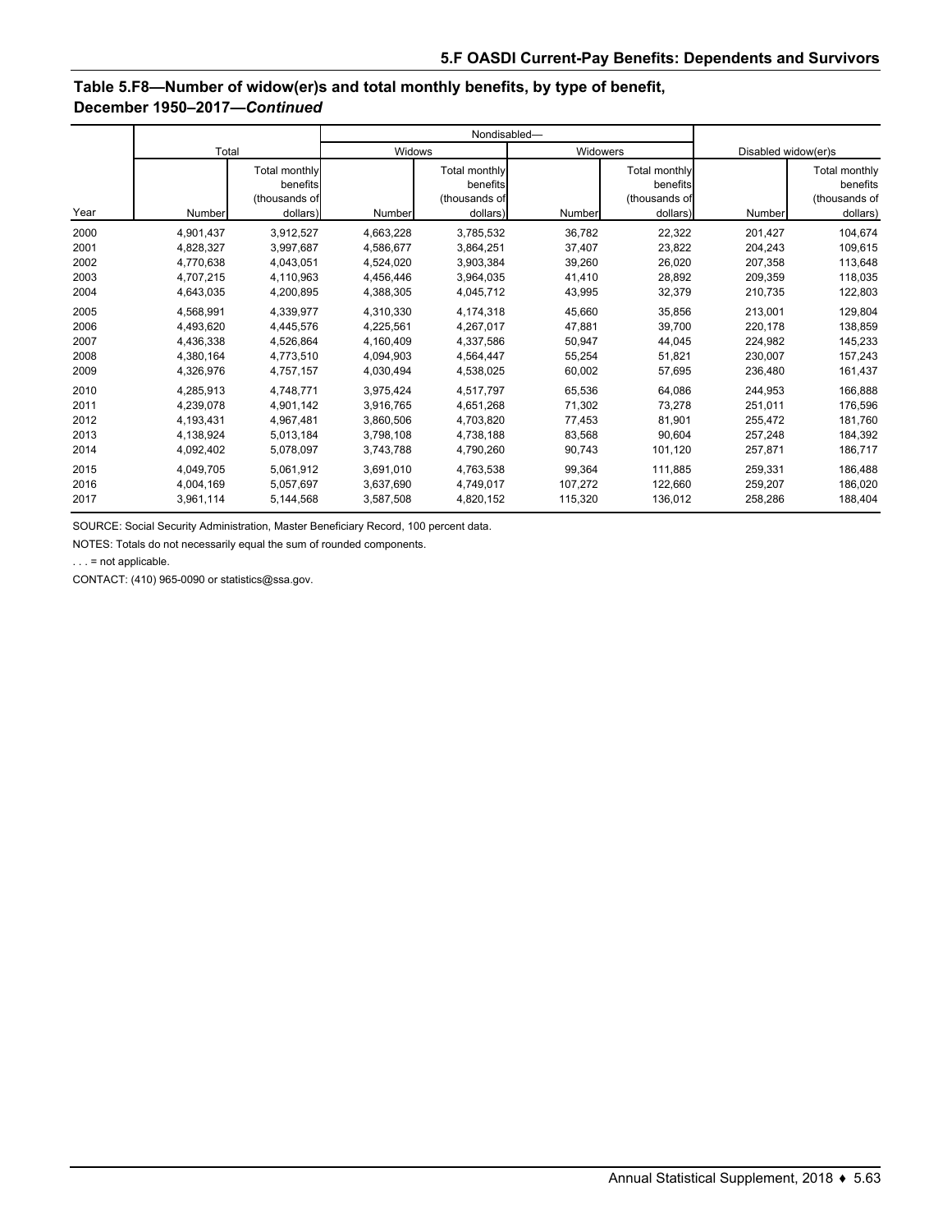### **Table 5.F8—Number of widow(er)s and total monthly benefits, by type of benefit, December 1950–2017—***Continued*

|      |           |                                                        |           | Nondisabled-                                           |          |                                                        |                     |                                                        |  |
|------|-----------|--------------------------------------------------------|-----------|--------------------------------------------------------|----------|--------------------------------------------------------|---------------------|--------------------------------------------------------|--|
|      | Total     |                                                        | Widows    |                                                        | Widowers |                                                        | Disabled widow(er)s |                                                        |  |
| Year | Number    | Total monthly<br>benefits<br>(thousands of<br>dollars) | Number    | Total monthly<br>benefits<br>(thousands of<br>dollars) | Number   | Total monthly<br>benefits<br>(thousands of<br>dollars) | Number              | Total monthly<br>benefits<br>(thousands of<br>dollars) |  |
| 2000 | 4,901,437 | 3,912,527                                              | 4,663,228 | 3,785,532                                              | 36,782   | 22,322                                                 | 201,427             | 104,674                                                |  |
| 2001 | 4,828,327 | 3,997,687                                              | 4,586,677 | 3,864,251                                              | 37,407   | 23,822                                                 | 204,243             | 109,615                                                |  |
| 2002 | 4,770,638 | 4,043,051                                              | 4,524,020 | 3,903,384                                              | 39,260   | 26,020                                                 | 207,358             | 113,648                                                |  |
| 2003 | 4,707,215 | 4,110,963                                              | 4,456,446 | 3,964,035                                              | 41,410   | 28,892                                                 | 209,359             | 118,035                                                |  |
| 2004 | 4,643,035 | 4,200,895                                              | 4,388,305 | 4,045,712                                              | 43,995   | 32,379                                                 | 210,735             | 122,803                                                |  |
| 2005 | 4,568,991 | 4,339,977                                              | 4,310,330 | 4,174,318                                              | 45,660   | 35,856                                                 | 213,001             | 129,804                                                |  |
| 2006 | 4.493.620 | 4,445,576                                              | 4,225,561 | 4,267,017                                              | 47.881   | 39.700                                                 | 220,178             | 138,859                                                |  |
| 2007 | 4,436,338 | 4,526,864                                              | 4,160,409 | 4,337,586                                              | 50,947   | 44,045                                                 | 224,982             | 145,233                                                |  |
| 2008 | 4,380,164 | 4,773,510                                              | 4,094,903 | 4,564,447                                              | 55,254   | 51,821                                                 | 230,007             | 157,243                                                |  |
| 2009 | 4,326,976 | 4,757,157                                              | 4,030,494 | 4,538,025                                              | 60,002   | 57,695                                                 | 236,480             | 161,437                                                |  |
| 2010 | 4,285,913 | 4,748,771                                              | 3,975,424 | 4,517,797                                              | 65,536   | 64,086                                                 | 244,953             | 166,888                                                |  |
| 2011 | 4.239.078 | 4,901,142                                              | 3,916,765 | 4.651.268                                              | 71,302   | 73,278                                                 | 251,011             | 176,596                                                |  |
| 2012 | 4,193,431 | 4,967,481                                              | 3,860,506 | 4,703,820                                              | 77,453   | 81,901                                                 | 255,472             | 181,760                                                |  |
| 2013 | 4,138,924 | 5,013,184                                              | 3,798,108 | 4,738,188                                              | 83.568   | 90.604                                                 | 257,248             | 184,392                                                |  |
| 2014 | 4,092,402 | 5,078,097                                              | 3,743,788 | 4,790,260                                              | 90,743   | 101,120                                                | 257,871             | 186,717                                                |  |
| 2015 | 4,049,705 | 5,061,912                                              | 3,691,010 | 4,763,538                                              | 99,364   | 111,885                                                | 259.331             | 186,488                                                |  |
| 2016 | 4,004,169 | 5,057,697                                              | 3,637,690 | 4,749,017                                              | 107,272  | 122,660                                                | 259,207             | 186,020                                                |  |
| 2017 | 3,961,114 | 5,144,568                                              | 3,587,508 | 4,820,152                                              | 115,320  | 136,012                                                | 258,286             | 188,404                                                |  |

SOURCE: Social Security Administration, Master Beneficiary Record, 100 percent data.

NOTES: Totals do not necessarily equal the sum of rounded components.

. . . = not applicable.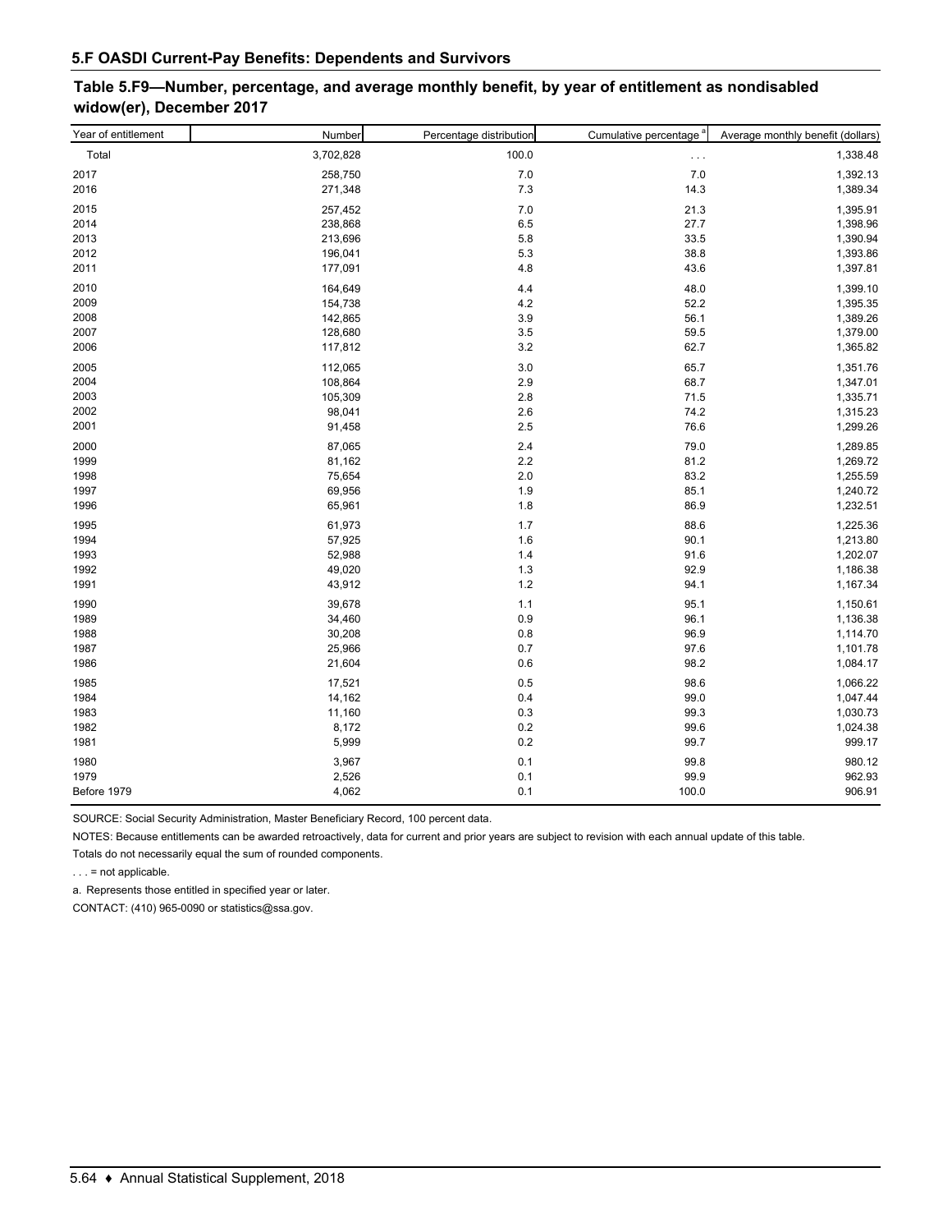# **Table 5.F9—Number, percentage, and average monthly benefit, by year of entitlement as nondisabled widow(er), December 2017**

| Year of entitlement | Number    | Percentage distribution | Cumulative percentage <sup>a</sup> | Average monthly benefit (dollars) |
|---------------------|-----------|-------------------------|------------------------------------|-----------------------------------|
| Total               | 3,702,828 | 100.0                   | $\ldots$                           | 1,338.48                          |
| 2017                | 258,750   | 7.0                     | 7.0                                | 1,392.13                          |
| 2016                | 271,348   | 7.3                     | 14.3                               | 1,389.34                          |
| 2015                | 257,452   | 7.0                     | 21.3                               | 1,395.91                          |
| 2014                | 238,868   | 6.5                     | 27.7                               | 1,398.96                          |
| 2013                | 213,696   | 5.8                     | 33.5                               | 1,390.94                          |
| 2012                | 196,041   | 5.3                     | 38.8                               | 1,393.86                          |
| 2011                | 177,091   | 4.8                     | 43.6                               | 1,397.81                          |
| 2010                | 164,649   | 4.4                     | 48.0                               | 1,399.10                          |
| 2009                | 154,738   | 4.2                     | 52.2                               | 1,395.35                          |
| 2008                | 142,865   | 3.9                     | 56.1                               | 1,389.26                          |
| 2007                | 128,680   | 3.5                     | 59.5                               | 1,379.00                          |
| 2006                | 117,812   | 3.2                     | 62.7                               | 1,365.82                          |
| 2005                | 112,065   | 3.0                     | 65.7                               | 1,351.76                          |
| 2004                | 108,864   | 2.9                     | 68.7                               | 1,347.01                          |
| 2003                | 105,309   | 2.8                     | 71.5                               | 1,335.71                          |
| 2002                | 98,041    | 2.6                     | 74.2                               | 1,315.23                          |
| 2001                | 91,458    | 2.5                     | 76.6                               | 1,299.26                          |
| 2000                | 87,065    | 2.4                     | 79.0                               | 1,289.85                          |
| 1999                | 81,162    | 2.2                     | 81.2                               | 1,269.72                          |
| 1998                | 75,654    | 2.0                     | 83.2                               | 1,255.59                          |
| 1997                | 69,956    | 1.9                     | 85.1                               | 1,240.72                          |
| 1996                | 65,961    | 1.8                     | 86.9                               | 1,232.51                          |
| 1995                | 61,973    | 1.7                     | 88.6                               | 1,225.36                          |
| 1994                | 57,925    | 1.6                     | 90.1                               | 1,213.80                          |
| 1993                | 52,988    | 1.4                     | 91.6                               | 1,202.07                          |
| 1992                | 49,020    | 1.3                     | 92.9                               | 1,186.38                          |
| 1991                | 43,912    | 1.2                     | 94.1                               | 1,167.34                          |
| 1990                | 39,678    | 1.1                     | 95.1                               | 1,150.61                          |
| 1989                | 34,460    | 0.9                     | 96.1                               | 1,136.38                          |
| 1988                | 30,208    | 0.8                     | 96.9                               | 1,114.70                          |
| 1987                | 25,966    | 0.7                     | 97.6                               | 1,101.78                          |
| 1986                | 21,604    | 0.6                     | 98.2                               | 1,084.17                          |
| 1985                | 17,521    | 0.5                     | 98.6                               | 1,066.22                          |
| 1984                | 14,162    | 0.4                     | 99.0                               | 1,047.44                          |
| 1983                | 11,160    | 0.3                     | 99.3                               | 1,030.73                          |
| 1982                | 8,172     | 0.2                     | 99.6                               | 1,024.38                          |
| 1981                | 5,999     | 0.2                     | 99.7                               | 999.17                            |
| 1980                | 3,967     | 0.1                     | 99.8                               | 980.12                            |
| 1979                | 2,526     | 0.1                     | 99.9                               | 962.93                            |
| Before 1979         | 4,062     | 0.1                     | 100.0                              | 906.91                            |

SOURCE: Social Security Administration, Master Beneficiary Record, 100 percent data.

NOTES: Because entitlements can be awarded retroactively, data for current and prior years are subject to revision with each annual update of this table.

Totals do not necessarily equal the sum of rounded components.

. . . = not applicable.

a. Represents those entitled in specified year or later.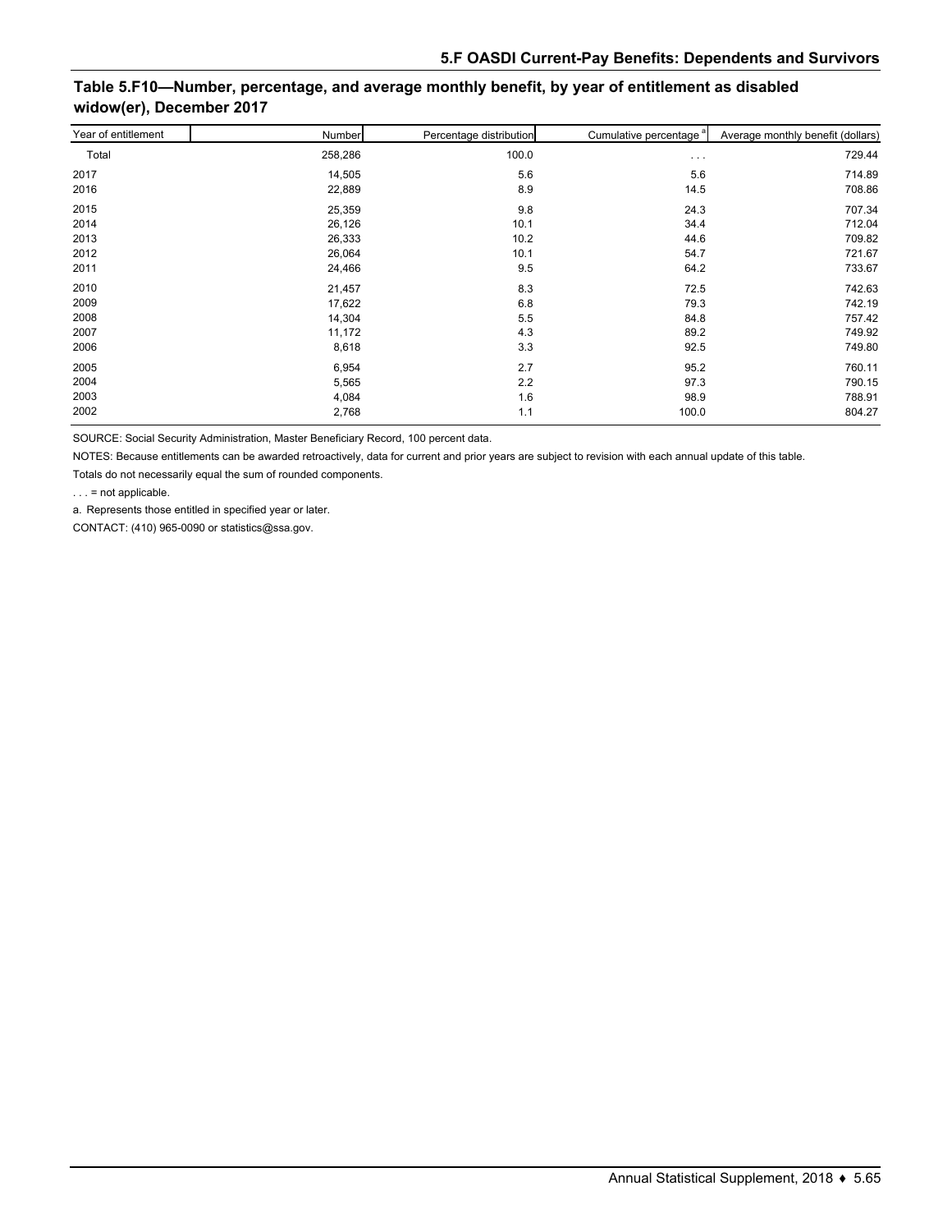# **Table 5.F10—Number, percentage, and average monthly benefit, by year of entitlement as disabled widow(er), December 2017**

| Year of entitlement | Number  | Percentage distribution | Cumulative percentage <sup>a</sup> | Average monthly benefit (dollars) |
|---------------------|---------|-------------------------|------------------------------------|-----------------------------------|
| Total               | 258,286 | 100.0                   | $\cdots$                           | 729.44                            |
| 2017                | 14,505  | 5.6                     | 5.6                                | 714.89                            |
| 2016                | 22,889  | 8.9                     | 14.5                               | 708.86                            |
| 2015                | 25,359  | 9.8                     | 24.3                               | 707.34                            |
| 2014                | 26,126  | 10.1                    | 34.4                               | 712.04                            |
| 2013                | 26,333  | 10.2                    | 44.6                               | 709.82                            |
| 2012                | 26,064  | 10.1                    | 54.7                               | 721.67                            |
| 2011                | 24,466  | 9.5                     | 64.2                               | 733.67                            |
| 2010                | 21,457  | 8.3                     | 72.5                               | 742.63                            |
| 2009                | 17,622  | 6.8                     | 79.3                               | 742.19                            |
| 2008                | 14,304  | 5.5                     | 84.8                               | 757.42                            |
| 2007                | 11,172  | 4.3                     | 89.2                               | 749.92                            |
| 2006                | 8,618   | 3.3                     | 92.5                               | 749.80                            |
| 2005                | 6,954   | 2.7                     | 95.2                               | 760.11                            |
| 2004                | 5,565   | 2.2                     | 97.3                               | 790.15                            |
| 2003                | 4,084   | 1.6                     | 98.9                               | 788.91                            |
| 2002                | 2,768   | 1.1                     | 100.0                              | 804.27                            |

SOURCE: Social Security Administration, Master Beneficiary Record, 100 percent data.

NOTES: Because entitlements can be awarded retroactively, data for current and prior years are subject to revision with each annual update of this table.

Totals do not necessarily equal the sum of rounded components.

. . . = not applicable.

a. Represents those entitled in specified year or later.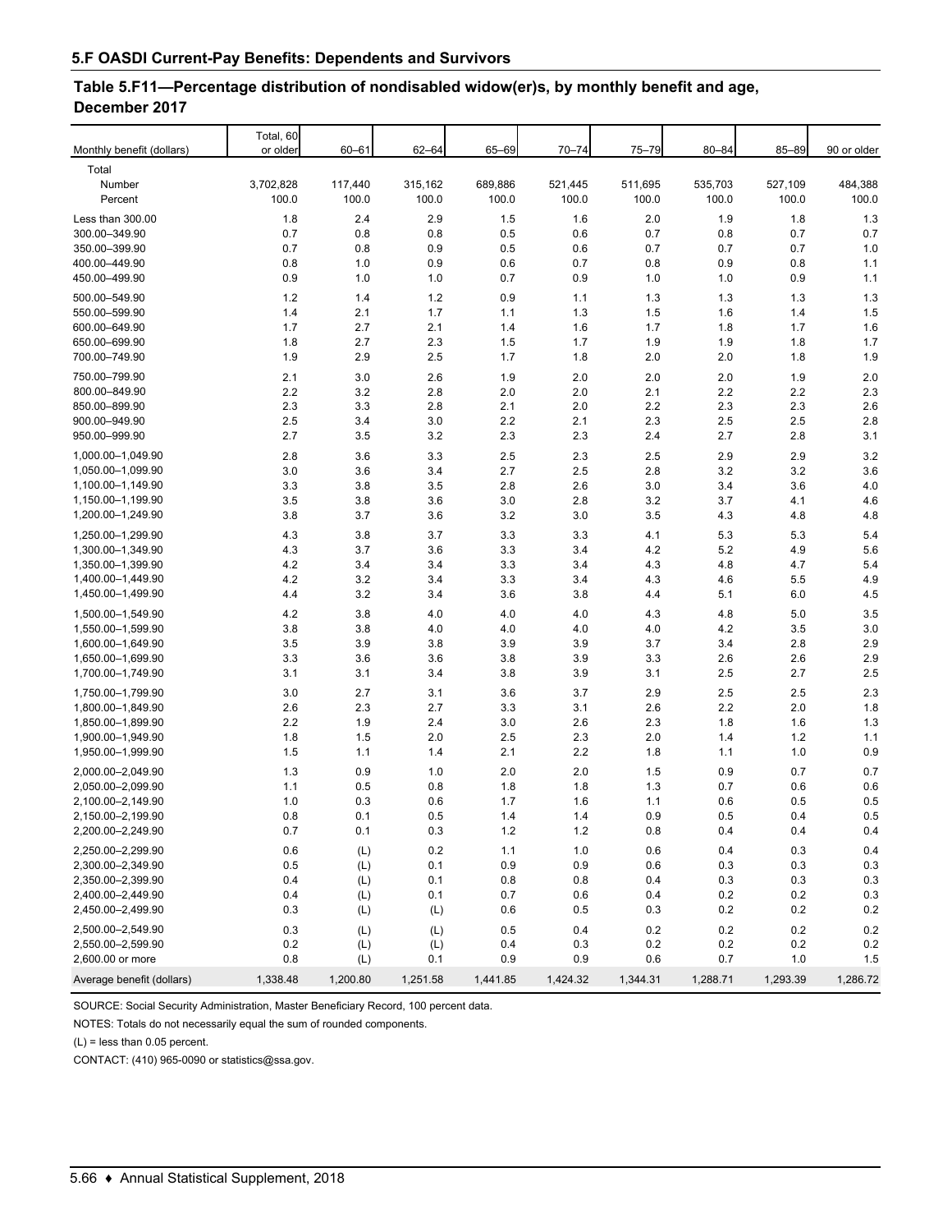#### **Table 5.F11—Percentage distribution of nondisabled widow(er)s, by monthly benefit and age, December 2017**

| Total, 60<br>Monthly benefit (dollars)<br>or older<br>$60 - 61$<br>$62 - 64$<br>65-69<br>$70 - 74$<br>75-79<br>$80 - 84$<br>85-89<br>90 or older<br>Total<br>3,702,828<br>117,440<br>315,162<br>689,886<br>521,445<br>511,695<br>535,703<br>527,109<br>484,388<br>Number<br>100.0<br>100.0<br>100.0<br>100.0<br>100.0<br>100.0<br>100.0<br>100.0<br>100.0<br>Percent<br>Less than 300.00<br>1.8<br>2.4<br>2.9<br>1.5<br>2.0<br>1.9<br>1.8<br>1.3<br>1.6<br>0.7<br>0.8<br>0.8<br>0.5<br>0.6<br>0.7<br>0.8<br>0.7<br>0.7<br>300.00-349.90<br>0.7<br>0.8<br>0.9<br>0.5<br>0.6<br>0.7<br>1.0<br>350.00-399.90<br>0.7<br>0.7<br>400.00-449.90<br>0.8<br>1.0<br>0.9<br>0.6<br>0.7<br>0.8<br>0.9<br>0.8<br>1.1<br>0.7<br>0.9<br>1.0<br>0.9<br>1.1<br>450.00-499.90<br>0.9<br>1.0<br>1.0<br>1.0<br>$1.2$<br>1.3<br>500.00-549.90<br>1.2<br>1.4<br>0.9<br>1.1<br>1.3<br>1.3<br>1.3<br>1.5<br>550.00-599.90<br>1.4<br>2.1<br>1.7<br>1.1<br>1.3<br>1.5<br>1.6<br>1.4<br>600.00-649.90<br>1.7<br>2.7<br>2.1<br>1.7<br>1.6<br>1.4<br>1.6<br>1.8<br>1.7<br>650.00-699.90<br>1.8<br>2.7<br>2.3<br>1.5<br>1.9<br>1.9<br>1.7<br>1.7<br>1.8<br>1.9<br>2.9<br>2.5<br>1.7<br>2.0<br>2.0<br>1.9<br>700.00-749.90<br>1.8<br>1.8<br>750.00-799.90<br>2.6<br>1.9<br>2.0<br>2.0<br>2.1<br>3.0<br>2.0<br>2.0<br>1.9<br>2.2<br>2.2<br>800.00-849.90<br>3.2<br>2.8<br>2.0<br>2.0<br>2.1<br>2.2<br>2.3<br>2.3<br>3.3<br>2.8<br>2.1<br>2.0<br>2.2<br>2.3<br>2.3<br>2.6<br>850.00-899.90<br>2.5<br>2.2<br>2.3<br>2.5<br>2.8<br>900.00-949.90<br>3.4<br>3.0<br>2.1<br>2.5<br>950.00-999.90<br>2.7<br>3.5<br>3.2<br>2.3<br>2.3<br>2.4<br>2.7<br>2.8<br>3.1<br>3.2<br>1,000.00-1,049.90<br>2.8<br>3.6<br>3.3<br>2.5<br>2.3<br>2.5<br>2.9<br>2.9<br>3.0<br>3.6<br>3.4<br>2.7<br>2.5<br>2.8<br>3.2<br>3.2<br>3.6<br>1.050.00-1.099.90<br>3.3<br>3.8<br>3.5<br>2.8<br>2.6<br>3.0<br>3.6<br>4.0<br>1,100.00-1,149.90<br>3.4<br>3.5<br>3.8<br>3.6<br>3.0<br>2.8<br>3.2<br>3.7<br>4.1<br>4.6<br>1,150.00-1,199.90<br>3.8<br>3.2<br>3.5<br>4.3<br>4.8<br>1,200.00-1,249.90<br>3.7<br>3.6<br>3.0<br>4.8<br>1,250.00-1,299.90<br>4.3<br>3.8<br>3.7<br>3.3<br>3.3<br>4.1<br>5.3<br>5.3<br>5.4<br>4.3<br>3.7<br>3.6<br>3.3<br>3.4<br>4.2<br>5.2<br>4.9<br>5.6<br>1,300.00-1,349.90<br>1,350.00-1,399.90<br>4.2<br>3.4<br>3.4<br>3.3<br>3.4<br>4.3<br>4.8<br>4.7<br>5.4<br>4.2<br>3.2<br>3.4<br>3.3<br>4.3<br>4.6<br>5.5<br>4.9<br>1,400.00-1,449.90<br>3.4<br>3.6<br>4.5<br>1,450.00-1,499.90<br>4.4<br>3.2<br>3.4<br>3.8<br>4.4<br>5.1<br>6.0<br>1,500.00-1,549.90<br>3.5<br>4.2<br>3.8<br>4.0<br>4.0<br>4.0<br>4.3<br>4.8<br>5.0<br>1,550.00-1,599.90<br>3.8<br>3.8<br>4.0<br>4.0<br>4.0<br>4.0<br>4.2<br>3.5<br>3.0<br>3.5<br>3.9<br>3.8<br>3.9<br>2.9<br>1,600.00-1,649.90<br>3.9<br>3.7<br>3.4<br>2.8<br>3.3<br>3.8<br>3.9<br>3.3<br>2.6<br>2.9<br>1,650.00-1,699.90<br>3.6<br>3.6<br>2.6<br>1,700.00-1,749.90<br>3.1<br>2.5<br>2.7<br>2.5<br>3.1<br>3.4<br>3.8<br>3.9<br>3.1<br>2.3<br>1,750.00-1,799.90<br>3.0<br>2.7<br>3.1<br>3.6<br>3.7<br>2.9<br>2.5<br>2.5<br>2.7<br>2.2<br>2.6<br>2.3<br>3.3<br>3.1<br>2.6<br>2.0<br>1.8<br>1,800.00-1,849.90<br>2.2<br>2.4<br>3.0<br>2.6<br>2.3<br>1.8<br>1.3<br>1,850.00-1,899.90<br>1.9<br>1.6<br>1,900.00-1,949.90<br>1.8<br>1.5<br>2.0<br>2.5<br>2.0<br>1.2<br>1.1<br>2.3<br>1.4<br>1.5<br>2.1<br>2.2<br>1.8<br>0.9<br>1,950.00-1,999.90<br>1.1<br>1.4<br>1.1<br>1.0<br>2,000.00-2,049.90<br>1.3<br>0.9<br>1.0<br>2.0<br>2.0<br>1.5<br>0.9<br>0.7<br>0.7<br>2,050.00-2,099.90<br>1.1<br>0.5<br>0.8<br>1.8<br>1.8<br>1.3<br>0.7<br>0.6<br>0.6<br>2,100.00-2,149.90<br>1.0<br>0.3<br>0.6<br>1.7<br>1.6<br>1.1<br>0.6<br>0.5<br>0.5<br>2,150.00-2,199.90<br>$0.8\,$<br>0.5<br>0.9<br>0.5<br>0.5<br>0.1<br>1.4<br>1.4<br>0.4<br>2,200.00-2,249.90<br>0.7<br>0.1<br>1.2<br>$1.2$<br>0.4<br>0.4<br>0.4<br>0.3<br>0.8<br>2,250.00-2,299.90<br>0.6<br>0.2<br>1.1<br>$1.0$<br>0.6<br>0.4<br>0.3<br>0.4<br>(L)<br>2,300.00-2,349.90<br>0.5<br>(L)<br>0.1<br>0.9<br>0.9<br>0.6<br>0.3<br>0.3<br>0.3<br>2,350.00-2,399.90<br>0.4<br>0.8<br>0.3<br>0.3<br>0.1<br>0.8<br>0.4<br>0.3<br>(L)<br>2,400.00-2,449.90<br>0.4<br>0.7<br>0.2<br>0.3<br>(L)<br>0.1<br>0.6<br>0.4<br>0.2<br>2,450.00-2,499.90<br>0.3<br>0.6<br>0.2<br>0.2<br>(L)<br>(L)<br>0.5<br>0.3<br>0.2<br>2,500.00-2,549.90<br>0.3<br>(L)<br>0.2<br>0.2<br>0.2<br>(L)<br>0.5<br>0.4<br>0.2<br>0.2<br>0.4<br>0.2<br>0.2<br>2,550.00-2,599.90<br>(L)<br>(L)<br>0.3<br>0.2<br>0.2<br>2,600.00 or more<br>0.8<br>0.9<br>0.9<br>0.6<br>0.7<br>1.0<br>(L)<br>0.1<br>1.5 |                           |          |          |          |          |          |          |          |          |          |
|----------------------------------------------------------------------------------------------------------------------------------------------------------------------------------------------------------------------------------------------------------------------------------------------------------------------------------------------------------------------------------------------------------------------------------------------------------------------------------------------------------------------------------------------------------------------------------------------------------------------------------------------------------------------------------------------------------------------------------------------------------------------------------------------------------------------------------------------------------------------------------------------------------------------------------------------------------------------------------------------------------------------------------------------------------------------------------------------------------------------------------------------------------------------------------------------------------------------------------------------------------------------------------------------------------------------------------------------------------------------------------------------------------------------------------------------------------------------------------------------------------------------------------------------------------------------------------------------------------------------------------------------------------------------------------------------------------------------------------------------------------------------------------------------------------------------------------------------------------------------------------------------------------------------------------------------------------------------------------------------------------------------------------------------------------------------------------------------------------------------------------------------------------------------------------------------------------------------------------------------------------------------------------------------------------------------------------------------------------------------------------------------------------------------------------------------------------------------------------------------------------------------------------------------------------------------------------------------------------------------------------------------------------------------------------------------------------------------------------------------------------------------------------------------------------------------------------------------------------------------------------------------------------------------------------------------------------------------------------------------------------------------------------------------------------------------------------------------------------------------------------------------------------------------------------------------------------------------------------------------------------------------------------------------------------------------------------------------------------------------------------------------------------------------------------------------------------------------------------------------------------------------------------------------------------------------------------------------------------------------------------------------------------------------------------------------------------------------------------------------------------------------------------------------------------------------------------------------------------------------------------------------------------------------------------------------------------------------------------------------------------------------------------------------------------------------------------------------------------------------------------------------------------------------------------------------------------------------------------------------------------------------------------------------------------------------------------------------------------------------------------------------------------------------------------------------------------------------------------------------------------------------|---------------------------|----------|----------|----------|----------|----------|----------|----------|----------|----------|
|                                                                                                                                                                                                                                                                                                                                                                                                                                                                                                                                                                                                                                                                                                                                                                                                                                                                                                                                                                                                                                                                                                                                                                                                                                                                                                                                                                                                                                                                                                                                                                                                                                                                                                                                                                                                                                                                                                                                                                                                                                                                                                                                                                                                                                                                                                                                                                                                                                                                                                                                                                                                                                                                                                                                                                                                                                                                                                                                                                                                                                                                                                                                                                                                                                                                                                                                                                                                                                                                                                                                                                                                                                                                                                                                                                                                                                                                                                                                                                                                                                                                                                                                                                                                                                                                                                                                                                                                                                                                                                                      |                           |          |          |          |          |          |          |          |          |          |
|                                                                                                                                                                                                                                                                                                                                                                                                                                                                                                                                                                                                                                                                                                                                                                                                                                                                                                                                                                                                                                                                                                                                                                                                                                                                                                                                                                                                                                                                                                                                                                                                                                                                                                                                                                                                                                                                                                                                                                                                                                                                                                                                                                                                                                                                                                                                                                                                                                                                                                                                                                                                                                                                                                                                                                                                                                                                                                                                                                                                                                                                                                                                                                                                                                                                                                                                                                                                                                                                                                                                                                                                                                                                                                                                                                                                                                                                                                                                                                                                                                                                                                                                                                                                                                                                                                                                                                                                                                                                                                                      |                           |          |          |          |          |          |          |          |          |          |
|                                                                                                                                                                                                                                                                                                                                                                                                                                                                                                                                                                                                                                                                                                                                                                                                                                                                                                                                                                                                                                                                                                                                                                                                                                                                                                                                                                                                                                                                                                                                                                                                                                                                                                                                                                                                                                                                                                                                                                                                                                                                                                                                                                                                                                                                                                                                                                                                                                                                                                                                                                                                                                                                                                                                                                                                                                                                                                                                                                                                                                                                                                                                                                                                                                                                                                                                                                                                                                                                                                                                                                                                                                                                                                                                                                                                                                                                                                                                                                                                                                                                                                                                                                                                                                                                                                                                                                                                                                                                                                                      |                           |          |          |          |          |          |          |          |          |          |
|                                                                                                                                                                                                                                                                                                                                                                                                                                                                                                                                                                                                                                                                                                                                                                                                                                                                                                                                                                                                                                                                                                                                                                                                                                                                                                                                                                                                                                                                                                                                                                                                                                                                                                                                                                                                                                                                                                                                                                                                                                                                                                                                                                                                                                                                                                                                                                                                                                                                                                                                                                                                                                                                                                                                                                                                                                                                                                                                                                                                                                                                                                                                                                                                                                                                                                                                                                                                                                                                                                                                                                                                                                                                                                                                                                                                                                                                                                                                                                                                                                                                                                                                                                                                                                                                                                                                                                                                                                                                                                                      |                           |          |          |          |          |          |          |          |          |          |
|                                                                                                                                                                                                                                                                                                                                                                                                                                                                                                                                                                                                                                                                                                                                                                                                                                                                                                                                                                                                                                                                                                                                                                                                                                                                                                                                                                                                                                                                                                                                                                                                                                                                                                                                                                                                                                                                                                                                                                                                                                                                                                                                                                                                                                                                                                                                                                                                                                                                                                                                                                                                                                                                                                                                                                                                                                                                                                                                                                                                                                                                                                                                                                                                                                                                                                                                                                                                                                                                                                                                                                                                                                                                                                                                                                                                                                                                                                                                                                                                                                                                                                                                                                                                                                                                                                                                                                                                                                                                                                                      |                           |          |          |          |          |          |          |          |          |          |
|                                                                                                                                                                                                                                                                                                                                                                                                                                                                                                                                                                                                                                                                                                                                                                                                                                                                                                                                                                                                                                                                                                                                                                                                                                                                                                                                                                                                                                                                                                                                                                                                                                                                                                                                                                                                                                                                                                                                                                                                                                                                                                                                                                                                                                                                                                                                                                                                                                                                                                                                                                                                                                                                                                                                                                                                                                                                                                                                                                                                                                                                                                                                                                                                                                                                                                                                                                                                                                                                                                                                                                                                                                                                                                                                                                                                                                                                                                                                                                                                                                                                                                                                                                                                                                                                                                                                                                                                                                                                                                                      |                           |          |          |          |          |          |          |          |          |          |
|                                                                                                                                                                                                                                                                                                                                                                                                                                                                                                                                                                                                                                                                                                                                                                                                                                                                                                                                                                                                                                                                                                                                                                                                                                                                                                                                                                                                                                                                                                                                                                                                                                                                                                                                                                                                                                                                                                                                                                                                                                                                                                                                                                                                                                                                                                                                                                                                                                                                                                                                                                                                                                                                                                                                                                                                                                                                                                                                                                                                                                                                                                                                                                                                                                                                                                                                                                                                                                                                                                                                                                                                                                                                                                                                                                                                                                                                                                                                                                                                                                                                                                                                                                                                                                                                                                                                                                                                                                                                                                                      |                           |          |          |          |          |          |          |          |          |          |
|                                                                                                                                                                                                                                                                                                                                                                                                                                                                                                                                                                                                                                                                                                                                                                                                                                                                                                                                                                                                                                                                                                                                                                                                                                                                                                                                                                                                                                                                                                                                                                                                                                                                                                                                                                                                                                                                                                                                                                                                                                                                                                                                                                                                                                                                                                                                                                                                                                                                                                                                                                                                                                                                                                                                                                                                                                                                                                                                                                                                                                                                                                                                                                                                                                                                                                                                                                                                                                                                                                                                                                                                                                                                                                                                                                                                                                                                                                                                                                                                                                                                                                                                                                                                                                                                                                                                                                                                                                                                                                                      |                           |          |          |          |          |          |          |          |          |          |
|                                                                                                                                                                                                                                                                                                                                                                                                                                                                                                                                                                                                                                                                                                                                                                                                                                                                                                                                                                                                                                                                                                                                                                                                                                                                                                                                                                                                                                                                                                                                                                                                                                                                                                                                                                                                                                                                                                                                                                                                                                                                                                                                                                                                                                                                                                                                                                                                                                                                                                                                                                                                                                                                                                                                                                                                                                                                                                                                                                                                                                                                                                                                                                                                                                                                                                                                                                                                                                                                                                                                                                                                                                                                                                                                                                                                                                                                                                                                                                                                                                                                                                                                                                                                                                                                                                                                                                                                                                                                                                                      |                           |          |          |          |          |          |          |          |          |          |
|                                                                                                                                                                                                                                                                                                                                                                                                                                                                                                                                                                                                                                                                                                                                                                                                                                                                                                                                                                                                                                                                                                                                                                                                                                                                                                                                                                                                                                                                                                                                                                                                                                                                                                                                                                                                                                                                                                                                                                                                                                                                                                                                                                                                                                                                                                                                                                                                                                                                                                                                                                                                                                                                                                                                                                                                                                                                                                                                                                                                                                                                                                                                                                                                                                                                                                                                                                                                                                                                                                                                                                                                                                                                                                                                                                                                                                                                                                                                                                                                                                                                                                                                                                                                                                                                                                                                                                                                                                                                                                                      |                           |          |          |          |          |          |          |          |          |          |
|                                                                                                                                                                                                                                                                                                                                                                                                                                                                                                                                                                                                                                                                                                                                                                                                                                                                                                                                                                                                                                                                                                                                                                                                                                                                                                                                                                                                                                                                                                                                                                                                                                                                                                                                                                                                                                                                                                                                                                                                                                                                                                                                                                                                                                                                                                                                                                                                                                                                                                                                                                                                                                                                                                                                                                                                                                                                                                                                                                                                                                                                                                                                                                                                                                                                                                                                                                                                                                                                                                                                                                                                                                                                                                                                                                                                                                                                                                                                                                                                                                                                                                                                                                                                                                                                                                                                                                                                                                                                                                                      |                           |          |          |          |          |          |          |          |          |          |
|                                                                                                                                                                                                                                                                                                                                                                                                                                                                                                                                                                                                                                                                                                                                                                                                                                                                                                                                                                                                                                                                                                                                                                                                                                                                                                                                                                                                                                                                                                                                                                                                                                                                                                                                                                                                                                                                                                                                                                                                                                                                                                                                                                                                                                                                                                                                                                                                                                                                                                                                                                                                                                                                                                                                                                                                                                                                                                                                                                                                                                                                                                                                                                                                                                                                                                                                                                                                                                                                                                                                                                                                                                                                                                                                                                                                                                                                                                                                                                                                                                                                                                                                                                                                                                                                                                                                                                                                                                                                                                                      |                           |          |          |          |          |          |          |          |          |          |
|                                                                                                                                                                                                                                                                                                                                                                                                                                                                                                                                                                                                                                                                                                                                                                                                                                                                                                                                                                                                                                                                                                                                                                                                                                                                                                                                                                                                                                                                                                                                                                                                                                                                                                                                                                                                                                                                                                                                                                                                                                                                                                                                                                                                                                                                                                                                                                                                                                                                                                                                                                                                                                                                                                                                                                                                                                                                                                                                                                                                                                                                                                                                                                                                                                                                                                                                                                                                                                                                                                                                                                                                                                                                                                                                                                                                                                                                                                                                                                                                                                                                                                                                                                                                                                                                                                                                                                                                                                                                                                                      |                           |          |          |          |          |          |          |          |          |          |
|                                                                                                                                                                                                                                                                                                                                                                                                                                                                                                                                                                                                                                                                                                                                                                                                                                                                                                                                                                                                                                                                                                                                                                                                                                                                                                                                                                                                                                                                                                                                                                                                                                                                                                                                                                                                                                                                                                                                                                                                                                                                                                                                                                                                                                                                                                                                                                                                                                                                                                                                                                                                                                                                                                                                                                                                                                                                                                                                                                                                                                                                                                                                                                                                                                                                                                                                                                                                                                                                                                                                                                                                                                                                                                                                                                                                                                                                                                                                                                                                                                                                                                                                                                                                                                                                                                                                                                                                                                                                                                                      |                           |          |          |          |          |          |          |          |          |          |
|                                                                                                                                                                                                                                                                                                                                                                                                                                                                                                                                                                                                                                                                                                                                                                                                                                                                                                                                                                                                                                                                                                                                                                                                                                                                                                                                                                                                                                                                                                                                                                                                                                                                                                                                                                                                                                                                                                                                                                                                                                                                                                                                                                                                                                                                                                                                                                                                                                                                                                                                                                                                                                                                                                                                                                                                                                                                                                                                                                                                                                                                                                                                                                                                                                                                                                                                                                                                                                                                                                                                                                                                                                                                                                                                                                                                                                                                                                                                                                                                                                                                                                                                                                                                                                                                                                                                                                                                                                                                                                                      |                           |          |          |          |          |          |          |          |          |          |
|                                                                                                                                                                                                                                                                                                                                                                                                                                                                                                                                                                                                                                                                                                                                                                                                                                                                                                                                                                                                                                                                                                                                                                                                                                                                                                                                                                                                                                                                                                                                                                                                                                                                                                                                                                                                                                                                                                                                                                                                                                                                                                                                                                                                                                                                                                                                                                                                                                                                                                                                                                                                                                                                                                                                                                                                                                                                                                                                                                                                                                                                                                                                                                                                                                                                                                                                                                                                                                                                                                                                                                                                                                                                                                                                                                                                                                                                                                                                                                                                                                                                                                                                                                                                                                                                                                                                                                                                                                                                                                                      |                           |          |          |          |          |          |          |          |          |          |
|                                                                                                                                                                                                                                                                                                                                                                                                                                                                                                                                                                                                                                                                                                                                                                                                                                                                                                                                                                                                                                                                                                                                                                                                                                                                                                                                                                                                                                                                                                                                                                                                                                                                                                                                                                                                                                                                                                                                                                                                                                                                                                                                                                                                                                                                                                                                                                                                                                                                                                                                                                                                                                                                                                                                                                                                                                                                                                                                                                                                                                                                                                                                                                                                                                                                                                                                                                                                                                                                                                                                                                                                                                                                                                                                                                                                                                                                                                                                                                                                                                                                                                                                                                                                                                                                                                                                                                                                                                                                                                                      |                           |          |          |          |          |          |          |          |          |          |
|                                                                                                                                                                                                                                                                                                                                                                                                                                                                                                                                                                                                                                                                                                                                                                                                                                                                                                                                                                                                                                                                                                                                                                                                                                                                                                                                                                                                                                                                                                                                                                                                                                                                                                                                                                                                                                                                                                                                                                                                                                                                                                                                                                                                                                                                                                                                                                                                                                                                                                                                                                                                                                                                                                                                                                                                                                                                                                                                                                                                                                                                                                                                                                                                                                                                                                                                                                                                                                                                                                                                                                                                                                                                                                                                                                                                                                                                                                                                                                                                                                                                                                                                                                                                                                                                                                                                                                                                                                                                                                                      |                           |          |          |          |          |          |          |          |          |          |
|                                                                                                                                                                                                                                                                                                                                                                                                                                                                                                                                                                                                                                                                                                                                                                                                                                                                                                                                                                                                                                                                                                                                                                                                                                                                                                                                                                                                                                                                                                                                                                                                                                                                                                                                                                                                                                                                                                                                                                                                                                                                                                                                                                                                                                                                                                                                                                                                                                                                                                                                                                                                                                                                                                                                                                                                                                                                                                                                                                                                                                                                                                                                                                                                                                                                                                                                                                                                                                                                                                                                                                                                                                                                                                                                                                                                                                                                                                                                                                                                                                                                                                                                                                                                                                                                                                                                                                                                                                                                                                                      |                           |          |          |          |          |          |          |          |          |          |
|                                                                                                                                                                                                                                                                                                                                                                                                                                                                                                                                                                                                                                                                                                                                                                                                                                                                                                                                                                                                                                                                                                                                                                                                                                                                                                                                                                                                                                                                                                                                                                                                                                                                                                                                                                                                                                                                                                                                                                                                                                                                                                                                                                                                                                                                                                                                                                                                                                                                                                                                                                                                                                                                                                                                                                                                                                                                                                                                                                                                                                                                                                                                                                                                                                                                                                                                                                                                                                                                                                                                                                                                                                                                                                                                                                                                                                                                                                                                                                                                                                                                                                                                                                                                                                                                                                                                                                                                                                                                                                                      |                           |          |          |          |          |          |          |          |          |          |
|                                                                                                                                                                                                                                                                                                                                                                                                                                                                                                                                                                                                                                                                                                                                                                                                                                                                                                                                                                                                                                                                                                                                                                                                                                                                                                                                                                                                                                                                                                                                                                                                                                                                                                                                                                                                                                                                                                                                                                                                                                                                                                                                                                                                                                                                                                                                                                                                                                                                                                                                                                                                                                                                                                                                                                                                                                                                                                                                                                                                                                                                                                                                                                                                                                                                                                                                                                                                                                                                                                                                                                                                                                                                                                                                                                                                                                                                                                                                                                                                                                                                                                                                                                                                                                                                                                                                                                                                                                                                                                                      |                           |          |          |          |          |          |          |          |          |          |
|                                                                                                                                                                                                                                                                                                                                                                                                                                                                                                                                                                                                                                                                                                                                                                                                                                                                                                                                                                                                                                                                                                                                                                                                                                                                                                                                                                                                                                                                                                                                                                                                                                                                                                                                                                                                                                                                                                                                                                                                                                                                                                                                                                                                                                                                                                                                                                                                                                                                                                                                                                                                                                                                                                                                                                                                                                                                                                                                                                                                                                                                                                                                                                                                                                                                                                                                                                                                                                                                                                                                                                                                                                                                                                                                                                                                                                                                                                                                                                                                                                                                                                                                                                                                                                                                                                                                                                                                                                                                                                                      |                           |          |          |          |          |          |          |          |          |          |
|                                                                                                                                                                                                                                                                                                                                                                                                                                                                                                                                                                                                                                                                                                                                                                                                                                                                                                                                                                                                                                                                                                                                                                                                                                                                                                                                                                                                                                                                                                                                                                                                                                                                                                                                                                                                                                                                                                                                                                                                                                                                                                                                                                                                                                                                                                                                                                                                                                                                                                                                                                                                                                                                                                                                                                                                                                                                                                                                                                                                                                                                                                                                                                                                                                                                                                                                                                                                                                                                                                                                                                                                                                                                                                                                                                                                                                                                                                                                                                                                                                                                                                                                                                                                                                                                                                                                                                                                                                                                                                                      |                           |          |          |          |          |          |          |          |          |          |
|                                                                                                                                                                                                                                                                                                                                                                                                                                                                                                                                                                                                                                                                                                                                                                                                                                                                                                                                                                                                                                                                                                                                                                                                                                                                                                                                                                                                                                                                                                                                                                                                                                                                                                                                                                                                                                                                                                                                                                                                                                                                                                                                                                                                                                                                                                                                                                                                                                                                                                                                                                                                                                                                                                                                                                                                                                                                                                                                                                                                                                                                                                                                                                                                                                                                                                                                                                                                                                                                                                                                                                                                                                                                                                                                                                                                                                                                                                                                                                                                                                                                                                                                                                                                                                                                                                                                                                                                                                                                                                                      |                           |          |          |          |          |          |          |          |          |          |
|                                                                                                                                                                                                                                                                                                                                                                                                                                                                                                                                                                                                                                                                                                                                                                                                                                                                                                                                                                                                                                                                                                                                                                                                                                                                                                                                                                                                                                                                                                                                                                                                                                                                                                                                                                                                                                                                                                                                                                                                                                                                                                                                                                                                                                                                                                                                                                                                                                                                                                                                                                                                                                                                                                                                                                                                                                                                                                                                                                                                                                                                                                                                                                                                                                                                                                                                                                                                                                                                                                                                                                                                                                                                                                                                                                                                                                                                                                                                                                                                                                                                                                                                                                                                                                                                                                                                                                                                                                                                                                                      |                           |          |          |          |          |          |          |          |          |          |
|                                                                                                                                                                                                                                                                                                                                                                                                                                                                                                                                                                                                                                                                                                                                                                                                                                                                                                                                                                                                                                                                                                                                                                                                                                                                                                                                                                                                                                                                                                                                                                                                                                                                                                                                                                                                                                                                                                                                                                                                                                                                                                                                                                                                                                                                                                                                                                                                                                                                                                                                                                                                                                                                                                                                                                                                                                                                                                                                                                                                                                                                                                                                                                                                                                                                                                                                                                                                                                                                                                                                                                                                                                                                                                                                                                                                                                                                                                                                                                                                                                                                                                                                                                                                                                                                                                                                                                                                                                                                                                                      |                           |          |          |          |          |          |          |          |          |          |
|                                                                                                                                                                                                                                                                                                                                                                                                                                                                                                                                                                                                                                                                                                                                                                                                                                                                                                                                                                                                                                                                                                                                                                                                                                                                                                                                                                                                                                                                                                                                                                                                                                                                                                                                                                                                                                                                                                                                                                                                                                                                                                                                                                                                                                                                                                                                                                                                                                                                                                                                                                                                                                                                                                                                                                                                                                                                                                                                                                                                                                                                                                                                                                                                                                                                                                                                                                                                                                                                                                                                                                                                                                                                                                                                                                                                                                                                                                                                                                                                                                                                                                                                                                                                                                                                                                                                                                                                                                                                                                                      |                           |          |          |          |          |          |          |          |          |          |
|                                                                                                                                                                                                                                                                                                                                                                                                                                                                                                                                                                                                                                                                                                                                                                                                                                                                                                                                                                                                                                                                                                                                                                                                                                                                                                                                                                                                                                                                                                                                                                                                                                                                                                                                                                                                                                                                                                                                                                                                                                                                                                                                                                                                                                                                                                                                                                                                                                                                                                                                                                                                                                                                                                                                                                                                                                                                                                                                                                                                                                                                                                                                                                                                                                                                                                                                                                                                                                                                                                                                                                                                                                                                                                                                                                                                                                                                                                                                                                                                                                                                                                                                                                                                                                                                                                                                                                                                                                                                                                                      |                           |          |          |          |          |          |          |          |          |          |
|                                                                                                                                                                                                                                                                                                                                                                                                                                                                                                                                                                                                                                                                                                                                                                                                                                                                                                                                                                                                                                                                                                                                                                                                                                                                                                                                                                                                                                                                                                                                                                                                                                                                                                                                                                                                                                                                                                                                                                                                                                                                                                                                                                                                                                                                                                                                                                                                                                                                                                                                                                                                                                                                                                                                                                                                                                                                                                                                                                                                                                                                                                                                                                                                                                                                                                                                                                                                                                                                                                                                                                                                                                                                                                                                                                                                                                                                                                                                                                                                                                                                                                                                                                                                                                                                                                                                                                                                                                                                                                                      |                           |          |          |          |          |          |          |          |          |          |
|                                                                                                                                                                                                                                                                                                                                                                                                                                                                                                                                                                                                                                                                                                                                                                                                                                                                                                                                                                                                                                                                                                                                                                                                                                                                                                                                                                                                                                                                                                                                                                                                                                                                                                                                                                                                                                                                                                                                                                                                                                                                                                                                                                                                                                                                                                                                                                                                                                                                                                                                                                                                                                                                                                                                                                                                                                                                                                                                                                                                                                                                                                                                                                                                                                                                                                                                                                                                                                                                                                                                                                                                                                                                                                                                                                                                                                                                                                                                                                                                                                                                                                                                                                                                                                                                                                                                                                                                                                                                                                                      |                           |          |          |          |          |          |          |          |          |          |
|                                                                                                                                                                                                                                                                                                                                                                                                                                                                                                                                                                                                                                                                                                                                                                                                                                                                                                                                                                                                                                                                                                                                                                                                                                                                                                                                                                                                                                                                                                                                                                                                                                                                                                                                                                                                                                                                                                                                                                                                                                                                                                                                                                                                                                                                                                                                                                                                                                                                                                                                                                                                                                                                                                                                                                                                                                                                                                                                                                                                                                                                                                                                                                                                                                                                                                                                                                                                                                                                                                                                                                                                                                                                                                                                                                                                                                                                                                                                                                                                                                                                                                                                                                                                                                                                                                                                                                                                                                                                                                                      |                           |          |          |          |          |          |          |          |          |          |
|                                                                                                                                                                                                                                                                                                                                                                                                                                                                                                                                                                                                                                                                                                                                                                                                                                                                                                                                                                                                                                                                                                                                                                                                                                                                                                                                                                                                                                                                                                                                                                                                                                                                                                                                                                                                                                                                                                                                                                                                                                                                                                                                                                                                                                                                                                                                                                                                                                                                                                                                                                                                                                                                                                                                                                                                                                                                                                                                                                                                                                                                                                                                                                                                                                                                                                                                                                                                                                                                                                                                                                                                                                                                                                                                                                                                                                                                                                                                                                                                                                                                                                                                                                                                                                                                                                                                                                                                                                                                                                                      |                           |          |          |          |          |          |          |          |          |          |
|                                                                                                                                                                                                                                                                                                                                                                                                                                                                                                                                                                                                                                                                                                                                                                                                                                                                                                                                                                                                                                                                                                                                                                                                                                                                                                                                                                                                                                                                                                                                                                                                                                                                                                                                                                                                                                                                                                                                                                                                                                                                                                                                                                                                                                                                                                                                                                                                                                                                                                                                                                                                                                                                                                                                                                                                                                                                                                                                                                                                                                                                                                                                                                                                                                                                                                                                                                                                                                                                                                                                                                                                                                                                                                                                                                                                                                                                                                                                                                                                                                                                                                                                                                                                                                                                                                                                                                                                                                                                                                                      |                           |          |          |          |          |          |          |          |          |          |
|                                                                                                                                                                                                                                                                                                                                                                                                                                                                                                                                                                                                                                                                                                                                                                                                                                                                                                                                                                                                                                                                                                                                                                                                                                                                                                                                                                                                                                                                                                                                                                                                                                                                                                                                                                                                                                                                                                                                                                                                                                                                                                                                                                                                                                                                                                                                                                                                                                                                                                                                                                                                                                                                                                                                                                                                                                                                                                                                                                                                                                                                                                                                                                                                                                                                                                                                                                                                                                                                                                                                                                                                                                                                                                                                                                                                                                                                                                                                                                                                                                                                                                                                                                                                                                                                                                                                                                                                                                                                                                                      |                           |          |          |          |          |          |          |          |          |          |
|                                                                                                                                                                                                                                                                                                                                                                                                                                                                                                                                                                                                                                                                                                                                                                                                                                                                                                                                                                                                                                                                                                                                                                                                                                                                                                                                                                                                                                                                                                                                                                                                                                                                                                                                                                                                                                                                                                                                                                                                                                                                                                                                                                                                                                                                                                                                                                                                                                                                                                                                                                                                                                                                                                                                                                                                                                                                                                                                                                                                                                                                                                                                                                                                                                                                                                                                                                                                                                                                                                                                                                                                                                                                                                                                                                                                                                                                                                                                                                                                                                                                                                                                                                                                                                                                                                                                                                                                                                                                                                                      |                           |          |          |          |          |          |          |          |          |          |
|                                                                                                                                                                                                                                                                                                                                                                                                                                                                                                                                                                                                                                                                                                                                                                                                                                                                                                                                                                                                                                                                                                                                                                                                                                                                                                                                                                                                                                                                                                                                                                                                                                                                                                                                                                                                                                                                                                                                                                                                                                                                                                                                                                                                                                                                                                                                                                                                                                                                                                                                                                                                                                                                                                                                                                                                                                                                                                                                                                                                                                                                                                                                                                                                                                                                                                                                                                                                                                                                                                                                                                                                                                                                                                                                                                                                                                                                                                                                                                                                                                                                                                                                                                                                                                                                                                                                                                                                                                                                                                                      |                           |          |          |          |          |          |          |          |          |          |
|                                                                                                                                                                                                                                                                                                                                                                                                                                                                                                                                                                                                                                                                                                                                                                                                                                                                                                                                                                                                                                                                                                                                                                                                                                                                                                                                                                                                                                                                                                                                                                                                                                                                                                                                                                                                                                                                                                                                                                                                                                                                                                                                                                                                                                                                                                                                                                                                                                                                                                                                                                                                                                                                                                                                                                                                                                                                                                                                                                                                                                                                                                                                                                                                                                                                                                                                                                                                                                                                                                                                                                                                                                                                                                                                                                                                                                                                                                                                                                                                                                                                                                                                                                                                                                                                                                                                                                                                                                                                                                                      |                           |          |          |          |          |          |          |          |          |          |
|                                                                                                                                                                                                                                                                                                                                                                                                                                                                                                                                                                                                                                                                                                                                                                                                                                                                                                                                                                                                                                                                                                                                                                                                                                                                                                                                                                                                                                                                                                                                                                                                                                                                                                                                                                                                                                                                                                                                                                                                                                                                                                                                                                                                                                                                                                                                                                                                                                                                                                                                                                                                                                                                                                                                                                                                                                                                                                                                                                                                                                                                                                                                                                                                                                                                                                                                                                                                                                                                                                                                                                                                                                                                                                                                                                                                                                                                                                                                                                                                                                                                                                                                                                                                                                                                                                                                                                                                                                                                                                                      |                           |          |          |          |          |          |          |          |          |          |
|                                                                                                                                                                                                                                                                                                                                                                                                                                                                                                                                                                                                                                                                                                                                                                                                                                                                                                                                                                                                                                                                                                                                                                                                                                                                                                                                                                                                                                                                                                                                                                                                                                                                                                                                                                                                                                                                                                                                                                                                                                                                                                                                                                                                                                                                                                                                                                                                                                                                                                                                                                                                                                                                                                                                                                                                                                                                                                                                                                                                                                                                                                                                                                                                                                                                                                                                                                                                                                                                                                                                                                                                                                                                                                                                                                                                                                                                                                                                                                                                                                                                                                                                                                                                                                                                                                                                                                                                                                                                                                                      |                           |          |          |          |          |          |          |          |          |          |
|                                                                                                                                                                                                                                                                                                                                                                                                                                                                                                                                                                                                                                                                                                                                                                                                                                                                                                                                                                                                                                                                                                                                                                                                                                                                                                                                                                                                                                                                                                                                                                                                                                                                                                                                                                                                                                                                                                                                                                                                                                                                                                                                                                                                                                                                                                                                                                                                                                                                                                                                                                                                                                                                                                                                                                                                                                                                                                                                                                                                                                                                                                                                                                                                                                                                                                                                                                                                                                                                                                                                                                                                                                                                                                                                                                                                                                                                                                                                                                                                                                                                                                                                                                                                                                                                                                                                                                                                                                                                                                                      |                           |          |          |          |          |          |          |          |          |          |
|                                                                                                                                                                                                                                                                                                                                                                                                                                                                                                                                                                                                                                                                                                                                                                                                                                                                                                                                                                                                                                                                                                                                                                                                                                                                                                                                                                                                                                                                                                                                                                                                                                                                                                                                                                                                                                                                                                                                                                                                                                                                                                                                                                                                                                                                                                                                                                                                                                                                                                                                                                                                                                                                                                                                                                                                                                                                                                                                                                                                                                                                                                                                                                                                                                                                                                                                                                                                                                                                                                                                                                                                                                                                                                                                                                                                                                                                                                                                                                                                                                                                                                                                                                                                                                                                                                                                                                                                                                                                                                                      |                           |          |          |          |          |          |          |          |          |          |
|                                                                                                                                                                                                                                                                                                                                                                                                                                                                                                                                                                                                                                                                                                                                                                                                                                                                                                                                                                                                                                                                                                                                                                                                                                                                                                                                                                                                                                                                                                                                                                                                                                                                                                                                                                                                                                                                                                                                                                                                                                                                                                                                                                                                                                                                                                                                                                                                                                                                                                                                                                                                                                                                                                                                                                                                                                                                                                                                                                                                                                                                                                                                                                                                                                                                                                                                                                                                                                                                                                                                                                                                                                                                                                                                                                                                                                                                                                                                                                                                                                                                                                                                                                                                                                                                                                                                                                                                                                                                                                                      |                           |          |          |          |          |          |          |          |          |          |
|                                                                                                                                                                                                                                                                                                                                                                                                                                                                                                                                                                                                                                                                                                                                                                                                                                                                                                                                                                                                                                                                                                                                                                                                                                                                                                                                                                                                                                                                                                                                                                                                                                                                                                                                                                                                                                                                                                                                                                                                                                                                                                                                                                                                                                                                                                                                                                                                                                                                                                                                                                                                                                                                                                                                                                                                                                                                                                                                                                                                                                                                                                                                                                                                                                                                                                                                                                                                                                                                                                                                                                                                                                                                                                                                                                                                                                                                                                                                                                                                                                                                                                                                                                                                                                                                                                                                                                                                                                                                                                                      |                           |          |          |          |          |          |          |          |          |          |
|                                                                                                                                                                                                                                                                                                                                                                                                                                                                                                                                                                                                                                                                                                                                                                                                                                                                                                                                                                                                                                                                                                                                                                                                                                                                                                                                                                                                                                                                                                                                                                                                                                                                                                                                                                                                                                                                                                                                                                                                                                                                                                                                                                                                                                                                                                                                                                                                                                                                                                                                                                                                                                                                                                                                                                                                                                                                                                                                                                                                                                                                                                                                                                                                                                                                                                                                                                                                                                                                                                                                                                                                                                                                                                                                                                                                                                                                                                                                                                                                                                                                                                                                                                                                                                                                                                                                                                                                                                                                                                                      |                           |          |          |          |          |          |          |          |          |          |
|                                                                                                                                                                                                                                                                                                                                                                                                                                                                                                                                                                                                                                                                                                                                                                                                                                                                                                                                                                                                                                                                                                                                                                                                                                                                                                                                                                                                                                                                                                                                                                                                                                                                                                                                                                                                                                                                                                                                                                                                                                                                                                                                                                                                                                                                                                                                                                                                                                                                                                                                                                                                                                                                                                                                                                                                                                                                                                                                                                                                                                                                                                                                                                                                                                                                                                                                                                                                                                                                                                                                                                                                                                                                                                                                                                                                                                                                                                                                                                                                                                                                                                                                                                                                                                                                                                                                                                                                                                                                                                                      |                           |          |          |          |          |          |          |          |          |          |
|                                                                                                                                                                                                                                                                                                                                                                                                                                                                                                                                                                                                                                                                                                                                                                                                                                                                                                                                                                                                                                                                                                                                                                                                                                                                                                                                                                                                                                                                                                                                                                                                                                                                                                                                                                                                                                                                                                                                                                                                                                                                                                                                                                                                                                                                                                                                                                                                                                                                                                                                                                                                                                                                                                                                                                                                                                                                                                                                                                                                                                                                                                                                                                                                                                                                                                                                                                                                                                                                                                                                                                                                                                                                                                                                                                                                                                                                                                                                                                                                                                                                                                                                                                                                                                                                                                                                                                                                                                                                                                                      |                           |          |          |          |          |          |          |          |          |          |
|                                                                                                                                                                                                                                                                                                                                                                                                                                                                                                                                                                                                                                                                                                                                                                                                                                                                                                                                                                                                                                                                                                                                                                                                                                                                                                                                                                                                                                                                                                                                                                                                                                                                                                                                                                                                                                                                                                                                                                                                                                                                                                                                                                                                                                                                                                                                                                                                                                                                                                                                                                                                                                                                                                                                                                                                                                                                                                                                                                                                                                                                                                                                                                                                                                                                                                                                                                                                                                                                                                                                                                                                                                                                                                                                                                                                                                                                                                                                                                                                                                                                                                                                                                                                                                                                                                                                                                                                                                                                                                                      |                           |          |          |          |          |          |          |          |          |          |
|                                                                                                                                                                                                                                                                                                                                                                                                                                                                                                                                                                                                                                                                                                                                                                                                                                                                                                                                                                                                                                                                                                                                                                                                                                                                                                                                                                                                                                                                                                                                                                                                                                                                                                                                                                                                                                                                                                                                                                                                                                                                                                                                                                                                                                                                                                                                                                                                                                                                                                                                                                                                                                                                                                                                                                                                                                                                                                                                                                                                                                                                                                                                                                                                                                                                                                                                                                                                                                                                                                                                                                                                                                                                                                                                                                                                                                                                                                                                                                                                                                                                                                                                                                                                                                                                                                                                                                                                                                                                                                                      |                           |          |          |          |          |          |          |          |          |          |
|                                                                                                                                                                                                                                                                                                                                                                                                                                                                                                                                                                                                                                                                                                                                                                                                                                                                                                                                                                                                                                                                                                                                                                                                                                                                                                                                                                                                                                                                                                                                                                                                                                                                                                                                                                                                                                                                                                                                                                                                                                                                                                                                                                                                                                                                                                                                                                                                                                                                                                                                                                                                                                                                                                                                                                                                                                                                                                                                                                                                                                                                                                                                                                                                                                                                                                                                                                                                                                                                                                                                                                                                                                                                                                                                                                                                                                                                                                                                                                                                                                                                                                                                                                                                                                                                                                                                                                                                                                                                                                                      |                           |          |          |          |          |          |          |          |          |          |
|                                                                                                                                                                                                                                                                                                                                                                                                                                                                                                                                                                                                                                                                                                                                                                                                                                                                                                                                                                                                                                                                                                                                                                                                                                                                                                                                                                                                                                                                                                                                                                                                                                                                                                                                                                                                                                                                                                                                                                                                                                                                                                                                                                                                                                                                                                                                                                                                                                                                                                                                                                                                                                                                                                                                                                                                                                                                                                                                                                                                                                                                                                                                                                                                                                                                                                                                                                                                                                                                                                                                                                                                                                                                                                                                                                                                                                                                                                                                                                                                                                                                                                                                                                                                                                                                                                                                                                                                                                                                                                                      |                           |          |          |          |          |          |          |          |          |          |
|                                                                                                                                                                                                                                                                                                                                                                                                                                                                                                                                                                                                                                                                                                                                                                                                                                                                                                                                                                                                                                                                                                                                                                                                                                                                                                                                                                                                                                                                                                                                                                                                                                                                                                                                                                                                                                                                                                                                                                                                                                                                                                                                                                                                                                                                                                                                                                                                                                                                                                                                                                                                                                                                                                                                                                                                                                                                                                                                                                                                                                                                                                                                                                                                                                                                                                                                                                                                                                                                                                                                                                                                                                                                                                                                                                                                                                                                                                                                                                                                                                                                                                                                                                                                                                                                                                                                                                                                                                                                                                                      |                           |          |          |          |          |          |          |          |          |          |
|                                                                                                                                                                                                                                                                                                                                                                                                                                                                                                                                                                                                                                                                                                                                                                                                                                                                                                                                                                                                                                                                                                                                                                                                                                                                                                                                                                                                                                                                                                                                                                                                                                                                                                                                                                                                                                                                                                                                                                                                                                                                                                                                                                                                                                                                                                                                                                                                                                                                                                                                                                                                                                                                                                                                                                                                                                                                                                                                                                                                                                                                                                                                                                                                                                                                                                                                                                                                                                                                                                                                                                                                                                                                                                                                                                                                                                                                                                                                                                                                                                                                                                                                                                                                                                                                                                                                                                                                                                                                                                                      |                           |          |          |          |          |          |          |          |          |          |
|                                                                                                                                                                                                                                                                                                                                                                                                                                                                                                                                                                                                                                                                                                                                                                                                                                                                                                                                                                                                                                                                                                                                                                                                                                                                                                                                                                                                                                                                                                                                                                                                                                                                                                                                                                                                                                                                                                                                                                                                                                                                                                                                                                                                                                                                                                                                                                                                                                                                                                                                                                                                                                                                                                                                                                                                                                                                                                                                                                                                                                                                                                                                                                                                                                                                                                                                                                                                                                                                                                                                                                                                                                                                                                                                                                                                                                                                                                                                                                                                                                                                                                                                                                                                                                                                                                                                                                                                                                                                                                                      |                           |          |          |          |          |          |          |          |          |          |
|                                                                                                                                                                                                                                                                                                                                                                                                                                                                                                                                                                                                                                                                                                                                                                                                                                                                                                                                                                                                                                                                                                                                                                                                                                                                                                                                                                                                                                                                                                                                                                                                                                                                                                                                                                                                                                                                                                                                                                                                                                                                                                                                                                                                                                                                                                                                                                                                                                                                                                                                                                                                                                                                                                                                                                                                                                                                                                                                                                                                                                                                                                                                                                                                                                                                                                                                                                                                                                                                                                                                                                                                                                                                                                                                                                                                                                                                                                                                                                                                                                                                                                                                                                                                                                                                                                                                                                                                                                                                                                                      |                           |          |          |          |          |          |          |          |          |          |
|                                                                                                                                                                                                                                                                                                                                                                                                                                                                                                                                                                                                                                                                                                                                                                                                                                                                                                                                                                                                                                                                                                                                                                                                                                                                                                                                                                                                                                                                                                                                                                                                                                                                                                                                                                                                                                                                                                                                                                                                                                                                                                                                                                                                                                                                                                                                                                                                                                                                                                                                                                                                                                                                                                                                                                                                                                                                                                                                                                                                                                                                                                                                                                                                                                                                                                                                                                                                                                                                                                                                                                                                                                                                                                                                                                                                                                                                                                                                                                                                                                                                                                                                                                                                                                                                                                                                                                                                                                                                                                                      |                           |          |          |          |          |          |          |          |          |          |
|                                                                                                                                                                                                                                                                                                                                                                                                                                                                                                                                                                                                                                                                                                                                                                                                                                                                                                                                                                                                                                                                                                                                                                                                                                                                                                                                                                                                                                                                                                                                                                                                                                                                                                                                                                                                                                                                                                                                                                                                                                                                                                                                                                                                                                                                                                                                                                                                                                                                                                                                                                                                                                                                                                                                                                                                                                                                                                                                                                                                                                                                                                                                                                                                                                                                                                                                                                                                                                                                                                                                                                                                                                                                                                                                                                                                                                                                                                                                                                                                                                                                                                                                                                                                                                                                                                                                                                                                                                                                                                                      | Average benefit (dollars) | 1,338.48 | 1,200.80 | 1,251.58 | 1,441.85 | 1,424.32 | 1,344.31 | 1,288.71 | 1,293.39 | 1,286.72 |

SOURCE: Social Security Administration, Master Beneficiary Record, 100 percent data.

NOTES: Totals do not necessarily equal the sum of rounded components.

(L) = less than 0.05 percent.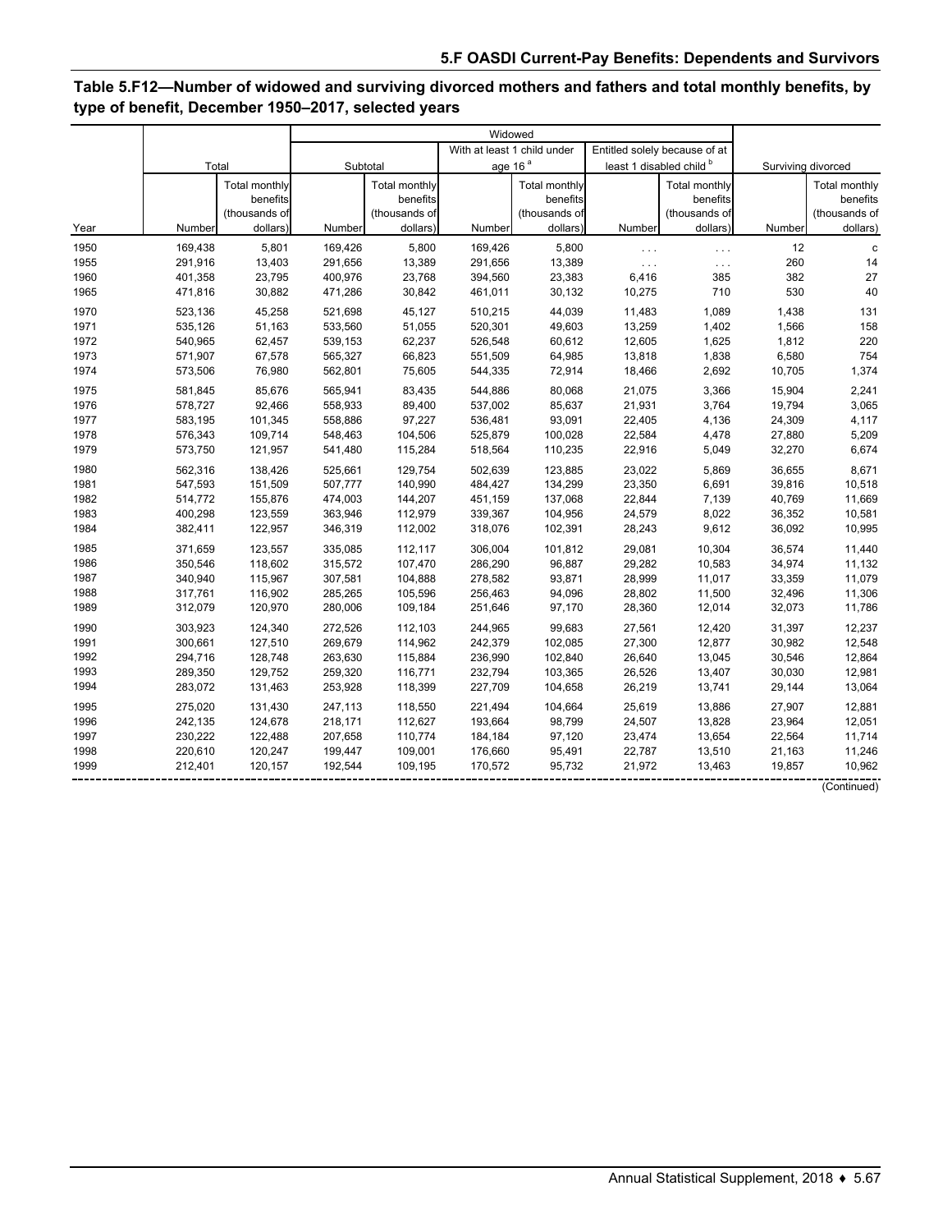# **Table 5.F12—Number of widowed and surviving divorced mothers and fathers and total monthly benefits, by type of benefit, December 1950–2017, selected years**

|      |         |               | Widowed  |                      |                             |               |                          |                               |                    |               |
|------|---------|---------------|----------|----------------------|-----------------------------|---------------|--------------------------|-------------------------------|--------------------|---------------|
|      | Total   |               |          |                      | With at least 1 child under |               |                          | Entitled solely because of at |                    |               |
|      |         |               | Subtotal |                      | age 16 <sup>a</sup>         |               | least 1 disabled child b |                               | Surviving divorced |               |
|      |         | Total monthly |          | <b>Total monthly</b> |                             | Total monthly |                          | <b>Total monthly</b>          |                    | Total monthly |
|      |         | benefits      |          | benefits             |                             | benefits      |                          | benefits                      |                    | benefits      |
|      |         | (thousands of |          | (thousands of        |                             | (thousands of |                          | (thousands of                 |                    | (thousands of |
| Year | Number  | dollars)      | Number   | dollars)             | Number                      | dollars)      | Number                   | dollars)                      | Number             | dollars)      |
| 1950 | 169,438 | 5,801         | 169,426  | 5,800                | 169,426                     | 5,800         | $\ldots$                 | $\ldots$                      | 12                 | C             |
| 1955 | 291,916 | 13,403        | 291,656  | 13,389               | 291,656                     | 13,389        | $\ldots$                 | $\ldots$                      | 260                | 14            |
| 1960 | 401,358 | 23,795        | 400,976  | 23,768               | 394,560                     | 23,383        | 6,416                    | 385                           | 382                | 27            |
| 1965 | 471,816 | 30,882        | 471,286  | 30,842               | 461,011                     | 30,132        | 10,275                   | 710                           | 530                | 40            |
| 1970 | 523,136 | 45,258        | 521,698  | 45,127               | 510,215                     | 44,039        | 11,483                   | 1,089                         | 1,438              | 131           |
| 1971 | 535,126 | 51,163        | 533,560  | 51,055               | 520,301                     | 49,603        | 13,259                   | 1,402                         | 1,566              | 158           |
| 1972 | 540,965 | 62,457        | 539,153  | 62,237               | 526,548                     | 60,612        | 12,605                   | 1,625                         | 1,812              | 220           |
| 1973 | 571,907 | 67,578        | 565,327  | 66,823               | 551,509                     | 64,985        | 13,818                   | 1,838                         | 6,580              | 754           |
| 1974 | 573,506 | 76,980        | 562,801  | 75,605               | 544,335                     | 72,914        | 18,466                   | 2,692                         | 10,705             | 1,374         |
| 1975 | 581,845 | 85,676        | 565,941  | 83,435               | 544,886                     | 80,068        | 21,075                   | 3,366                         | 15,904             | 2,241         |
| 1976 | 578.727 | 92.466        | 558,933  | 89,400               | 537,002                     | 85,637        | 21,931                   | 3,764                         | 19,794             | 3,065         |
| 1977 | 583,195 | 101,345       | 558,886  | 97,227               | 536,481                     | 93,091        | 22,405                   | 4,136                         | 24,309             | 4,117         |
| 1978 | 576,343 | 109,714       | 548,463  | 104,506              | 525,879                     | 100,028       | 22,584                   | 4,478                         | 27,880             | 5,209         |
| 1979 | 573,750 | 121,957       | 541,480  | 115,284              | 518,564                     | 110,235       | 22,916                   | 5,049                         | 32,270             | 6,674         |
| 1980 | 562,316 | 138,426       | 525,661  | 129,754              | 502,639                     | 123,885       | 23,022                   | 5,869                         | 36,655             | 8,671         |
| 1981 | 547,593 | 151,509       | 507,777  | 140,990              | 484,427                     | 134,299       | 23,350                   | 6,691                         | 39,816             | 10,518        |
| 1982 | 514,772 | 155,876       | 474,003  | 144,207              | 451,159                     | 137,068       | 22,844                   | 7,139                         | 40,769             | 11,669        |
| 1983 | 400,298 | 123,559       | 363,946  | 112,979              | 339,367                     | 104,956       | 24,579                   | 8,022                         | 36,352             | 10,581        |
| 1984 | 382,411 | 122,957       | 346,319  | 112,002              | 318,076                     | 102,391       | 28,243                   | 9,612                         | 36,092             | 10,995        |
| 1985 | 371,659 | 123,557       | 335,085  | 112,117              | 306,004                     | 101,812       | 29,081                   | 10,304                        | 36,574             | 11,440        |
| 1986 | 350,546 | 118,602       | 315,572  | 107,470              | 286,290                     | 96,887        | 29,282                   | 10,583                        | 34,974             | 11,132        |
| 1987 | 340,940 | 115,967       | 307,581  | 104,888              | 278,582                     | 93,871        | 28,999                   | 11,017                        | 33,359             | 11,079        |
| 1988 | 317,761 | 116,902       | 285,265  | 105,596              | 256,463                     | 94,096        | 28,802                   | 11,500                        | 32,496             | 11,306        |
| 1989 | 312,079 | 120,970       | 280,006  | 109,184              | 251,646                     | 97,170        | 28,360                   | 12,014                        | 32,073             | 11,786        |
| 1990 | 303,923 | 124,340       | 272,526  | 112,103              | 244,965                     | 99,683        | 27,561                   | 12,420                        | 31,397             | 12,237        |
| 1991 | 300,661 | 127,510       | 269,679  | 114,962              | 242,379                     | 102,085       | 27,300                   | 12,877                        | 30,982             | 12,548        |
| 1992 | 294,716 | 128,748       | 263,630  | 115,884              | 236,990                     | 102,840       | 26,640                   | 13,045                        | 30,546             | 12,864        |
| 1993 | 289,350 | 129,752       | 259,320  | 116,771              | 232,794                     | 103,365       | 26,526                   | 13,407                        | 30,030             | 12,981        |
| 1994 | 283,072 | 131,463       | 253,928  | 118,399              | 227,709                     | 104,658       | 26,219                   | 13,741                        | 29,144             | 13,064        |
| 1995 | 275,020 | 131,430       | 247,113  | 118,550              | 221.494                     | 104,664       | 25,619                   | 13,886                        | 27,907             | 12,881        |
| 1996 | 242,135 | 124,678       | 218,171  | 112,627              | 193,664                     | 98,799        | 24,507                   | 13,828                        | 23,964             | 12,051        |
| 1997 | 230,222 | 122,488       | 207.658  | 110,774              | 184,184                     | 97,120        | 23,474                   | 13,654                        | 22,564             | 11,714        |
| 1998 | 220,610 | 120,247       | 199,447  | 109,001              | 176,660                     | 95,491        | 22,787                   | 13,510                        | 21,163             | 11,246        |
| 1999 | 212,401 | 120,157       | 192,544  | 109,195              | 170,572                     | 95,732        | 21,972                   | 13,463                        | 19,857             | 10,962        |
|      |         |               |          |                      |                             |               |                          |                               |                    | (Continued)   |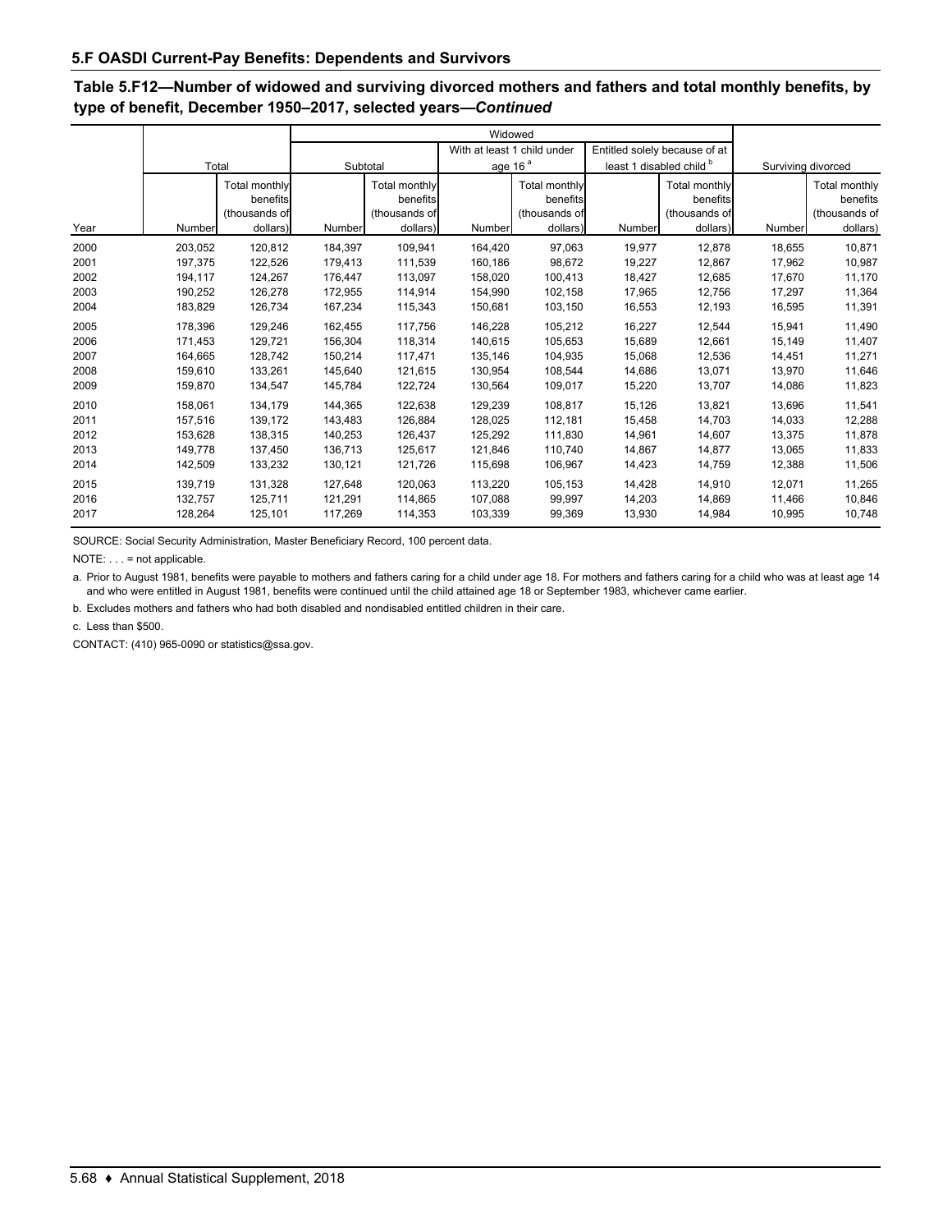# **Table 5.F12—Number of widowed and surviving divorced mothers and fathers and total monthly benefits, by type of benefit, December 1950–2017, selected years—***Continued*

|                                      |                                                     |                                                        | Widowed                                             |                                                        |                                                     |                                                        |                                                |                                                               |                                                |                                                        |
|--------------------------------------|-----------------------------------------------------|--------------------------------------------------------|-----------------------------------------------------|--------------------------------------------------------|-----------------------------------------------------|--------------------------------------------------------|------------------------------------------------|---------------------------------------------------------------|------------------------------------------------|--------------------------------------------------------|
|                                      |                                                     |                                                        |                                                     |                                                        | With at least 1 child under                         |                                                        | Entitled solely because of at                  |                                                               |                                                |                                                        |
|                                      | Total                                               |                                                        | Subtotal                                            |                                                        | age 16 <sup>a</sup>                                 |                                                        | least 1 disabled child b                       |                                                               | Surviving divorced                             |                                                        |
| Year                                 | Number                                              | Total monthly<br>benefits<br>(thousands of<br>dollars) | Number                                              | Total monthly<br>benefits<br>(thousands of<br>dollars) | Number                                              | Total monthly<br>benefits<br>(thousands of<br>dollars) | Number                                         | <b>Total monthly</b><br>benefits<br>(thousands of<br>dollars) | Number                                         | Total monthly<br>benefits<br>(thousands of<br>dollars) |
|                                      |                                                     |                                                        |                                                     |                                                        |                                                     |                                                        |                                                |                                                               |                                                |                                                        |
| 2000<br>2001                         | 203,052<br>197,375                                  | 120.812<br>122,526                                     | 184,397<br>179,413                                  | 109.941<br>111,539                                     | 164,420<br>160,186                                  | 97.063<br>98.672                                       | 19,977<br>19,227                               | 12.878<br>12,867                                              | 18,655<br>17,962                               | 10,871<br>10,987                                       |
| 2002<br>2003<br>2004                 | 194,117<br>190,252<br>183,829                       | 124,267<br>126,278<br>126,734                          | 176,447<br>172,955<br>167,234                       | 113.097<br>114.914<br>115,343                          | 158,020<br>154,990<br>150,681                       | 100,413<br>102,158<br>103,150                          | 18,427<br>17,965<br>16,553                     | 12,685<br>12.756<br>12,193                                    | 17,670<br>17.297<br>16,595                     | 11,170<br>11,364<br>11,391                             |
| 2005<br>2006<br>2007<br>2008         | 178,396<br>171,453<br>164,665<br>159,610            | 129,246<br>129,721<br>128,742<br>133,261               | 162,455<br>156,304<br>150,214<br>145,640            | 117,756<br>118,314<br>117.471<br>121,615               | 146,228<br>140,615<br>135,146<br>130,954            | 105,212<br>105,653<br>104,935<br>108,544               | 16,227<br>15,689<br>15,068<br>14,686           | 12,544<br>12,661<br>12,536<br>13,071                          | 15,941<br>15,149<br>14,451<br>13,970           | 11,490<br>11,407<br>11,271<br>11,646                   |
| 2009                                 | 159,870                                             | 134,547                                                | 145,784                                             | 122,724                                                | 130,564                                             | 109,017                                                | 15,220                                         | 13,707                                                        | 14,086                                         | 11,823                                                 |
| 2010<br>2011<br>2012<br>2013<br>2014 | 158,061<br>157,516<br>153,628<br>149,778<br>142,509 | 134,179<br>139,172<br>138,315<br>137,450<br>133,232    | 144,365<br>143.483<br>140,253<br>136,713<br>130,121 | 122,638<br>126,884<br>126,437<br>125,617<br>121,726    | 129,239<br>128,025<br>125,292<br>121,846<br>115,698 | 108,817<br>112,181<br>111,830<br>110,740<br>106,967    | 15,126<br>15,458<br>14,961<br>14,867<br>14,423 | 13,821<br>14,703<br>14,607<br>14,877<br>14,759                | 13,696<br>14,033<br>13,375<br>13,065<br>12,388 | 11,541<br>12,288<br>11,878<br>11,833<br>11,506         |
| 2015<br>2016<br>2017                 | 139,719<br>132,757<br>128,264                       | 131,328<br>125,711<br>125,101                          | 127,648<br>121,291<br>117,269                       | 120.063<br>114,865<br>114,353                          | 113,220<br>107,088<br>103,339                       | 105,153<br>99,997<br>99,369                            | 14,428<br>14,203<br>13,930                     | 14.910<br>14,869<br>14,984                                    | 12,071<br>11,466<br>10,995                     | 11,265<br>10,846<br>10,748                             |

SOURCE: Social Security Administration, Master Beneficiary Record, 100 percent data.

NOTE: . . . = not applicable.

a. Prior to August 1981, benefits were payable to mothers and fathers caring for a child under age 18. For mothers and fathers caring for a child who was at least age 14 and who were entitled in August 1981, benefits were continued until the child attained age 18 or September 1983, whichever came earlier.

b. Excludes mothers and fathers who had both disabled and nondisabled entitled children in their care.

c. Less than \$500.